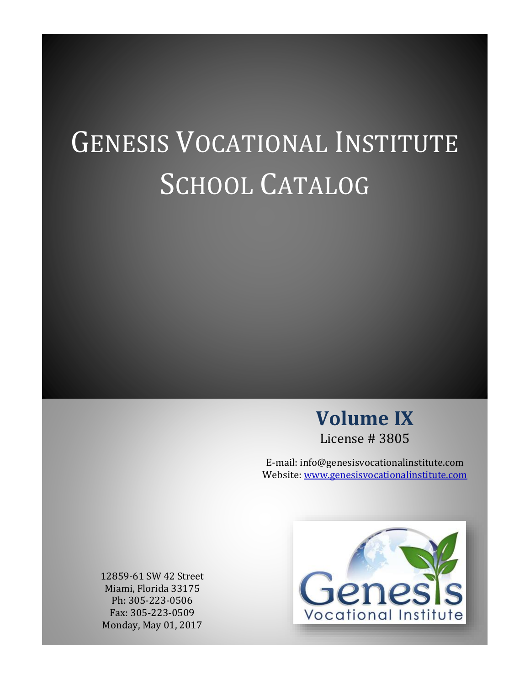# GENESIS VOCATIONAL INSTITUTE SCHOOL CATALOG



E-mail: info@genesisvocationalinstitute.com Website: [www.genesisvocationalinstitute.com](http://www.genesisvocationalinstitute.com/)

12859-61 SW 42 Street Miami, Florida 33175 Ph: 305-223-0506 Fax: 305-223-0509 Monday, May 01, 2017

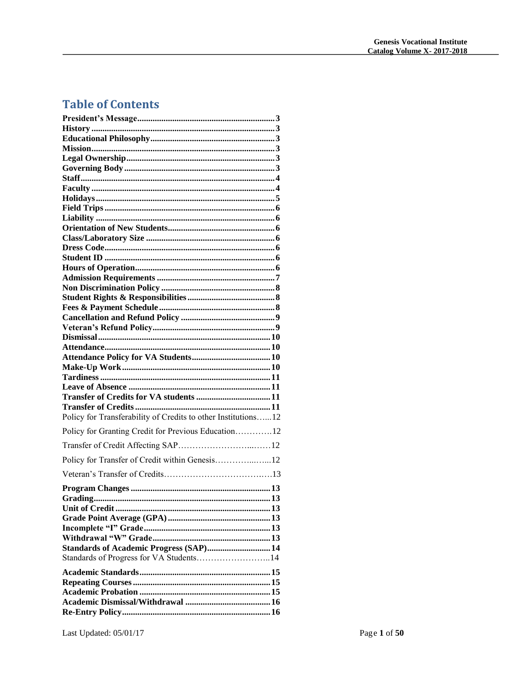# **Table of Contents**

| Policy for Transferability of Credits to other Institutions12 |  |
|---------------------------------------------------------------|--|
| Policy for Granting Credit for Previous Education12           |  |
|                                                               |  |
| Policy for Transfer of Credit within Genesis12                |  |
|                                                               |  |
|                                                               |  |
|                                                               |  |
|                                                               |  |
|                                                               |  |
|                                                               |  |
|                                                               |  |
|                                                               |  |
| Standards of Academic Progress (SAP) 14                       |  |
| Standards of Progress for VA Students14                       |  |
|                                                               |  |
|                                                               |  |
|                                                               |  |
|                                                               |  |
|                                                               |  |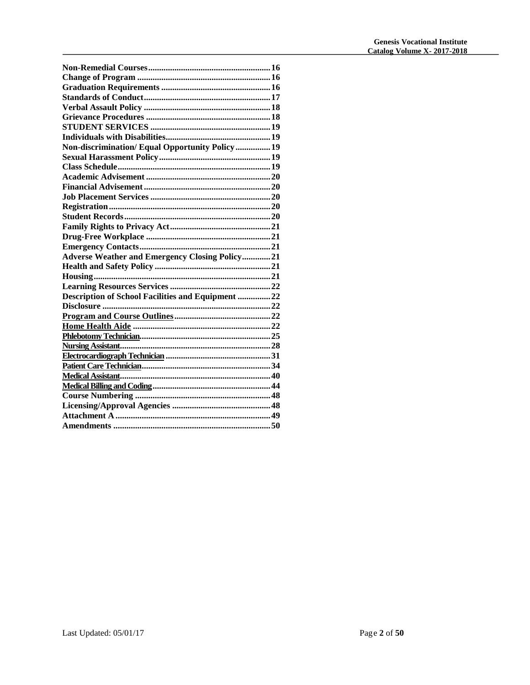| Non-discrimination/Equal Opportunity Policy19         |
|-------------------------------------------------------|
|                                                       |
|                                                       |
|                                                       |
|                                                       |
|                                                       |
|                                                       |
|                                                       |
|                                                       |
|                                                       |
|                                                       |
| <b>Adverse Weather and Emergency Closing Policy21</b> |
|                                                       |
|                                                       |
|                                                       |
| Description of School Facilities and Equipment 22     |
|                                                       |
|                                                       |
|                                                       |
|                                                       |
|                                                       |
|                                                       |
|                                                       |
|                                                       |
|                                                       |
|                                                       |
|                                                       |
|                                                       |
|                                                       |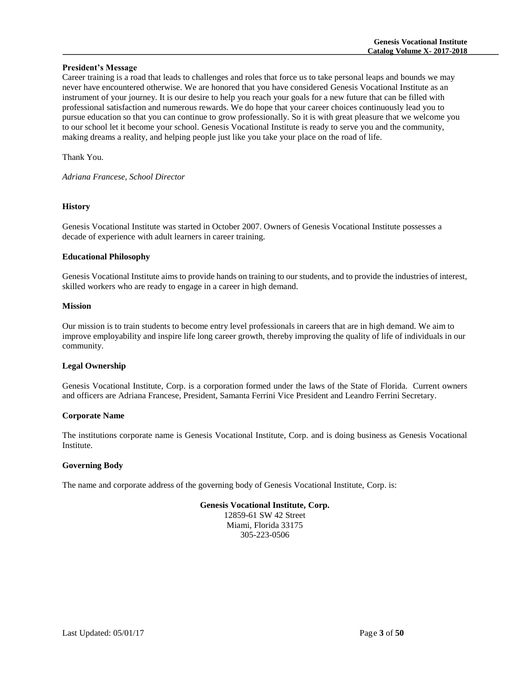# **President's Message**

Career training is a road that leads to challenges and roles that force us to take personal leaps and bounds we may never have encountered otherwise. We are honored that you have considered Genesis Vocational Institute as an instrument of your journey. It is our desire to help you reach your goals for a new future that can be filled with professional satisfaction and numerous rewards. We do hope that your career choices continuously lead you to pursue education so that you can continue to grow professionally. So it is with great pleasure that we welcome you to our school let it become your school. Genesis Vocational Institute is ready to serve you and the community, making dreams a reality, and helping people just like you take your place on the road of life.

Thank You.

*Adriana Francese, School Director*

# **History**

Genesis Vocational Institute was started in October 2007. Owners of Genesis Vocational Institute possesses a decade of experience with adult learners in career training.

# **Educational Philosophy**

Genesis Vocational Institute aims to provide hands on training to our students, and to provide the industries of interest, skilled workers who are ready to engage in a career in high demand.

# **Mission**

Our mission is to train students to become entry level professionals in careers that are in high demand. We aim to improve employability and inspire life long career growth, thereby improving the quality of life of individuals in our community.

# **Legal Ownership**

Genesis Vocational Institute, Corp. is a corporation formed under the laws of the State of Florida. Current owners and officers are Adriana Francese, President, Samanta Ferrini Vice President and Leandro Ferrini Secretary.

#### **Corporate Name**

The institutions corporate name is Genesis Vocational Institute, Corp. and is doing business as Genesis Vocational Institute.

#### **Governing Body**

The name and corporate address of the governing body of Genesis Vocational Institute, Corp. is:

# **Genesis Vocational Institute, Corp.**

12859-61 SW 42 Street Miami, Florida 33175 305-223-0506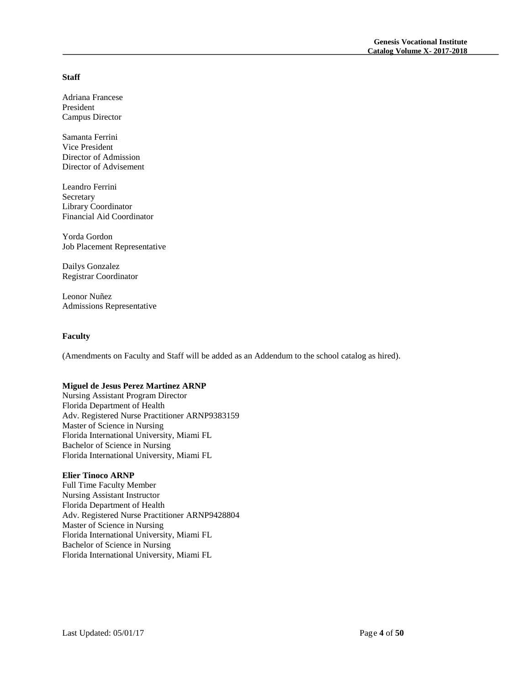# **Staff**

Adriana Francese President Campus Director

Samanta Ferrini Vice President Director of Admission Director of Advisement

Leandro Ferrini Secretary Library Coordinator Financial Aid Coordinator

Yorda Gordon Job Placement Representative

Dailys Gonzalez Registrar Coordinator

Leonor Nuñez Admissions Representative

# **Faculty**

(Amendments on Faculty and Staff will be added as an Addendum to the school catalog as hired).

#### **Miguel de Jesus Perez Martinez ARNP**

Nursing Assistant Program Director Florida Department of Health Adv. Registered Nurse Practitioner ARNP9383159 Master of Science in Nursing Florida International University, Miami FL Bachelor of Science in Nursing Florida International University, Miami FL

# **Elier Tinoco ARNP**

Full Time Faculty Member Nursing Assistant Instructor Florida Department of Health Adv. Registered Nurse Practitioner ARNP9428804 Master of Science in Nursing Florida International University, Miami FL Bachelor of Science in Nursing Florida International University, Miami FL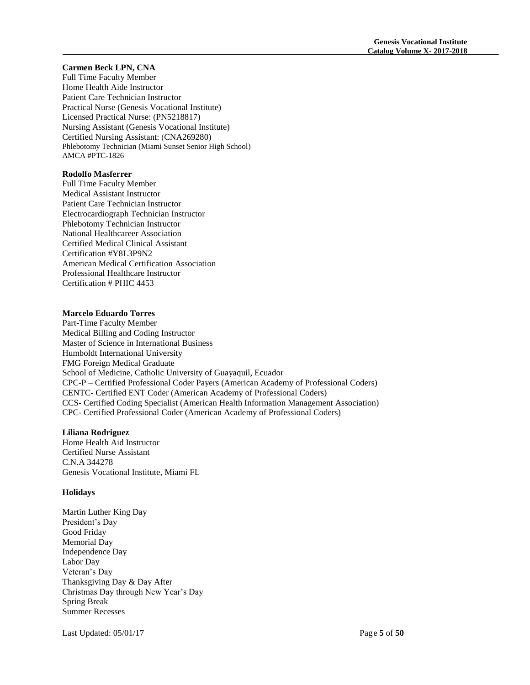#### **Carmen Beck LPN, CNA**

Full Time Faculty Member Home Health Aide Instructor Patient Care Technician Instructor Practical Nurse (Genesis Vocational Institute) Licensed Practical Nurse: (PN5218817) Nursing Assistant (Genesis Vocational Institute) Certified Nursing Assistant: (CNA269280) Phlebotomy Technician (Miami Sunset Senior High School) AMCA #PTC-1826

# **Rodolfo Masferrer**

Full Time Faculty Member Medical Assistant Instructor Patient Care Technician Instructor Electrocardiograph Technician Instructor Phlebotomy Technician Instructor National Healthcareer Association Certified Medical Clinical Assistant Certification #Y8L3P9N2 American Medical Certification Association Professional Healthcare Instructor Certification # PHIC 4453

# **Marcelo Eduardo Torres**

Part-Time Faculty Member Medical Billing and Coding Instructor Master of Science in International Business Humboldt International University FMG Foreign Medical Graduate School of Medicine, Catholic University of Guayaquil, Ecuador CPC-P – Certified Professional Coder Payers (American Academy of Professional Coders) CENTC- Certified ENT Coder (American Academy of Professional Coders) CCS- Certified Coding Specialist (American Health Information Management Association) CPC- Certified Professional Coder (American Academy of Professional Coders)

#### **Liliana Rodriguez**

Home Health Aid Instructor Certified Nurse Assistant C.N.A 344278 Genesis Vocational Institute, Miami FL

#### **Holidays**

Martin Luther King Day President's Day Good Friday Memorial Day Independence Day Labor Day Veteran's Day Thanksgiving Day & Day After Christmas Day through New Year's Day Spring Break Summer Recesses

Last Updated: 05/01/17 Page **5** of **50**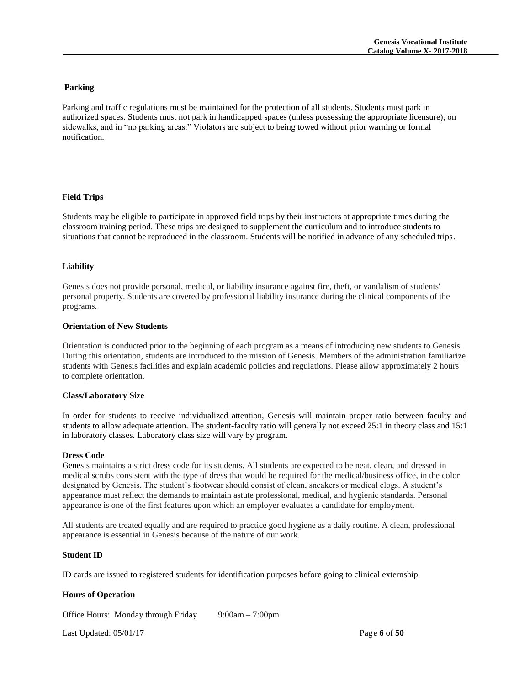# **Parking**

Parking and traffic regulations must be maintained for the protection of all students. Students must park in authorized spaces. Students must not park in handicapped spaces (unless possessing the appropriate licensure), on sidewalks, and in "no parking areas." Violators are subject to being towed without prior warning or formal notification.

# **Field Trips**

Students may be eligible to participate in approved field trips by their instructors at appropriate times during the classroom training period. These trips are designed to supplement the curriculum and to introduce students to situations that cannot be reproduced in the classroom. Students will be notified in advance of any scheduled trips.

# **Liability**

Genesis does not provide personal, medical, or liability insurance against fire, theft, or vandalism of students' personal property. Students are covered by professional liability insurance during the clinical components of the programs.

# **Orientation of New Students**

Orientation is conducted prior to the beginning of each program as a means of introducing new students to Genesis. During this orientation, students are introduced to the mission of Genesis. Members of the administration familiarize students with Genesis facilities and explain academic policies and regulations. Please allow approximately 2 hours to complete orientation.

#### **Class/Laboratory Size**

In order for students to receive individualized attention, Genesis will maintain proper ratio between faculty and students to allow adequate attention. The student-faculty ratio will generally not exceed 25:1 in theory class and 15:1 in laboratory classes. Laboratory class size will vary by program.

#### **Dress Code**

Genesis maintains a strict dress code for its students. All students are expected to be neat, clean, and dressed in medical scrubs consistent with the type of dress that would be required for the medical/business office, in the color designated by Genesis. The student's footwear should consist of clean, sneakers or medical clogs. A student's appearance must reflect the demands to maintain astute professional, medical, and hygienic standards. Personal appearance is one of the first features upon which an employer evaluates a candidate for employment.

All students are treated equally and are required to practice good hygiene as a daily routine. A clean, professional appearance is essential in Genesis because of the nature of our work.

#### **Student ID**

ID cards are issued to registered students for identification purposes before going to clinical externship.

# **Hours of Operation**

Office Hours: Monday through Friday 9:00am – 7:00pm

Last Updated: 05/01/17 Page **6** of **50**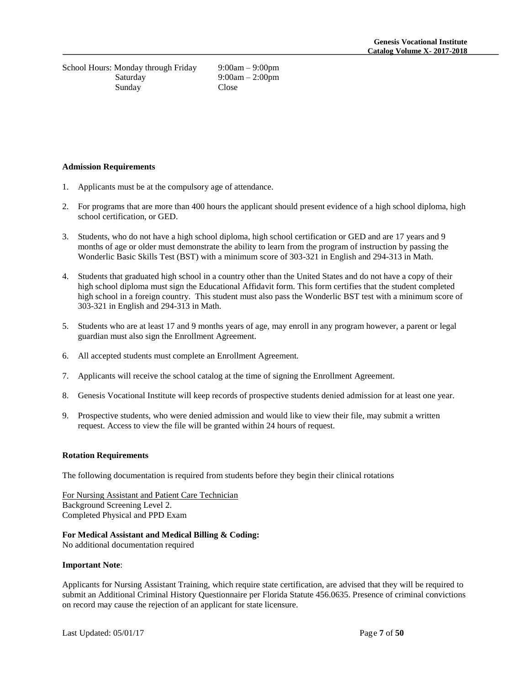School Hours: Monday through Friday 9:00am – 9:00pm Saturday 9:00am – 2:00pm Sunday Close

#### **Admission Requirements**

- 1. Applicants must be at the compulsory age of attendance.
- 2. For programs that are more than 400 hours the applicant should present evidence of a high school diploma, high school certification, or GED.
- 3. Students, who do not have a high school diploma, high school certification or GED and are 17 years and 9 months of age or older must demonstrate the ability to learn from the program of instruction by passing the Wonderlic Basic Skills Test (BST) with a minimum score of 303-321 in English and 294-313 in Math.
- 4. Students that graduated high school in a country other than the United States and do not have a copy of their high school diploma must sign the Educational Affidavit form. This form certifies that the student completed high school in a foreign country. This student must also pass the Wonderlic BST test with a minimum score of 303-321 in English and 294-313 in Math.
- 5. Students who are at least 17 and 9 months years of age, may enroll in any program however, a parent or legal guardian must also sign the Enrollment Agreement.
- 6. All accepted students must complete an Enrollment Agreement.
- 7. Applicants will receive the school catalog at the time of signing the Enrollment Agreement.
- 8. Genesis Vocational Institute will keep records of prospective students denied admission for at least one year.
- 9. Prospective students, who were denied admission and would like to view their file, may submit a written request. Access to view the file will be granted within 24 hours of request.

#### **Rotation Requirements**

The following documentation is required from students before they begin their clinical rotations

For Nursing Assistant and Patient Care Technician Background Screening Level 2. Completed Physical and PPD Exam

#### **For Medical Assistant and Medical Billing & Coding:**

No additional documentation required

#### **Important Note**:

Applicants for Nursing Assistant Training, which require state certification, are advised that they will be required to submit an Additional Criminal History Questionnaire per Florida Statute 456.0635. Presence of criminal convictions on record may cause the rejection of an applicant for state licensure.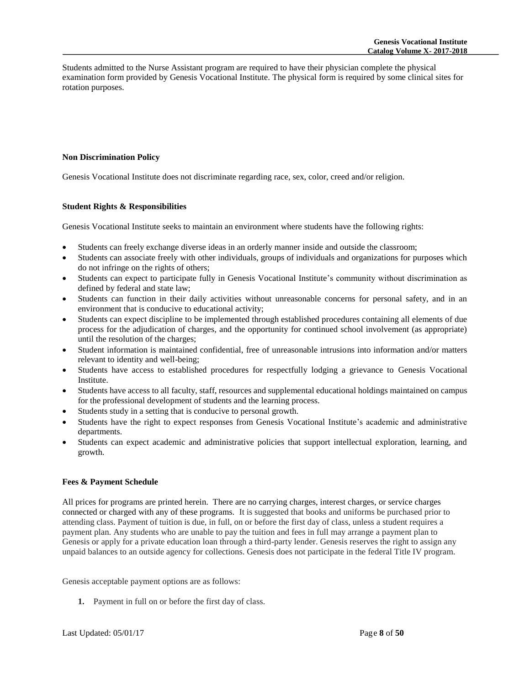Students admitted to the Nurse Assistant program are required to have their physician complete the physical examination form provided by Genesis Vocational Institute. The physical form is required by some clinical sites for rotation purposes.

#### **Non Discrimination Policy**

Genesis Vocational Institute does not discriminate regarding race, sex, color, creed and/or religion.

# **Student Rights & Responsibilities**

Genesis Vocational Institute seeks to maintain an environment where students have the following rights:

- Students can freely exchange diverse ideas in an orderly manner inside and outside the classroom;
- Students can associate freely with other individuals, groups of individuals and organizations for purposes which do not infringe on the rights of others;
- Students can expect to participate fully in Genesis Vocational Institute's community without discrimination as defined by federal and state law;
- Students can function in their daily activities without unreasonable concerns for personal safety, and in an environment that is conducive to educational activity;
- Students can expect discipline to be implemented through established procedures containing all elements of due process for the adjudication of charges, and the opportunity for continued school involvement (as appropriate) until the resolution of the charges;
- Student information is maintained confidential, free of unreasonable intrusions into information and/or matters relevant to identity and well-being;
- Students have access to established procedures for respectfully lodging a grievance to Genesis Vocational Institute.
- Students have access to all faculty, staff, resources and supplemental educational holdings maintained on campus for the professional development of students and the learning process.
- Students study in a setting that is conducive to personal growth.
- Students have the right to expect responses from Genesis Vocational Institute's academic and administrative departments.
- Students can expect academic and administrative policies that support intellectual exploration, learning, and growth.

# **Fees & Payment Schedule**

All prices for programs are printed herein. There are no carrying charges, interest charges, or service charges connected or charged with any of these programs. It is suggested that books and uniforms be purchased prior to attending class. Payment of tuition is due, in full, on or before the first day of class, unless a student requires a payment plan. Any students who are unable to pay the tuition and fees in full may arrange a payment plan to Genesis or apply for a private education loan through a third-party lender. Genesis reserves the right to assign any unpaid balances to an outside agency for collections. Genesis does not participate in the federal Title IV program.

Genesis acceptable payment options are as follows:

**1.** Payment in full on or before the first day of class.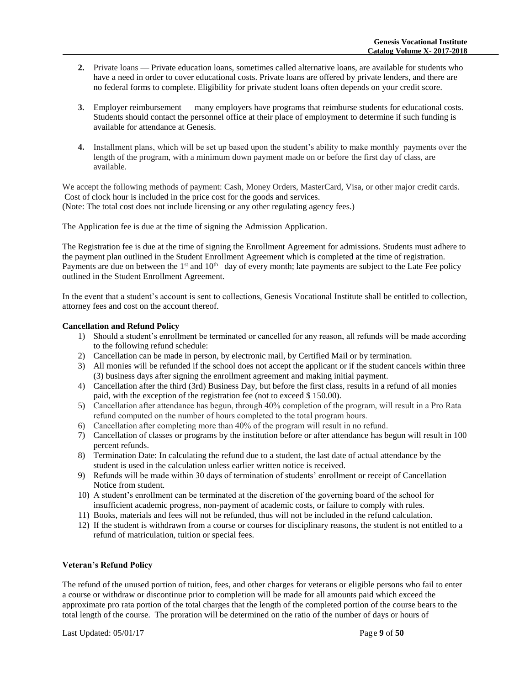- **2.** Private loans Private education loans, sometimes called alternative loans, are available for students who have a need in order to cover educational costs. Private loans are offered by private lenders, and there are no federal forms to complete. Eligibility for private student loans often depends on your credit score.
- **3.** Employer reimbursement many employers have programs that reimburse students for educational costs. Students should contact the personnel office at their place of employment to determine if such funding is available for attendance at Genesis.
- **4.** Installment plans, which will be set up based upon the student's ability to make monthly payments over the length of the program, with a minimum down payment made on or before the first day of class, are available.

We accept the following methods of payment: Cash, Money Orders, MasterCard, Visa, or other major credit cards. Cost of clock hour is included in the price cost for the goods and services. (Note: The total cost does not include licensing or any other regulating agency fees.)

The Application fee is due at the time of signing the Admission Application.

The Registration fee is due at the time of signing the Enrollment Agreement for admissions. Students must adhere to the payment plan outlined in the Student Enrollment Agreement which is completed at the time of registration. Payments are due on between the 1<sup>st</sup> and 10<sup>th</sup> day of every month; late payments are subject to the Late Fee policy outlined in the Student Enrollment Agreement.

In the event that a student's account is sent to collections, Genesis Vocational Institute shall be entitled to collection, attorney fees and cost on the account thereof.

# **Cancellation and Refund Policy**

- 1) Should a student's enrollment be terminated or cancelled for any reason, all refunds will be made according to the following refund schedule:
- 2) Cancellation can be made in person, by electronic mail, by Certified Mail or by termination.
- 3) All monies will be refunded if the school does not accept the applicant or if the student cancels within three (3) business days after signing the enrollment agreement and making initial payment.
- 4) Cancellation after the third (3rd) Business Day, but before the first class, results in a refund of all monies paid, with the exception of the registration fee (not to exceed \$ 150.00).
- 5) Cancellation after attendance has begun, through 40% completion of the program, will result in a Pro Rata refund computed on the number of hours completed to the total program hours.
- 6) Cancellation after completing more than 40% of the program will result in no refund.
- 7) Cancellation of classes or programs by the institution before or after attendance has begun will result in 100 percent refunds.
- 8) Termination Date: In calculating the refund due to a student, the last date of actual attendance by the student is used in the calculation unless earlier written notice is received.
- 9) Refunds will be made within 30 days of termination of students' enrollment or receipt of Cancellation Notice from student.
- 10) A student's enrollment can be terminated at the discretion of the governing board of the school for insufficient academic progress, non-payment of academic costs, or failure to comply with rules.
- 11) Books, materials and fees will not be refunded, thus will not be included in the refund calculation.
- 12) If the student is withdrawn from a course or courses for disciplinary reasons, the student is not entitled to a refund of matriculation, tuition or special fees.

#### **Veteran's Refund Policy**

The refund of the unused portion of tuition, fees, and other charges for veterans or eligible persons who fail to enter a course or withdraw or discontinue prior to completion will be made for all amounts paid which exceed the approximate pro rata portion of the total charges that the length of the completed portion of the course bears to the total length of the course. The proration will be determined on the ratio of the number of days or hours of

Last Updated: 05/01/17 Page **9** of **50**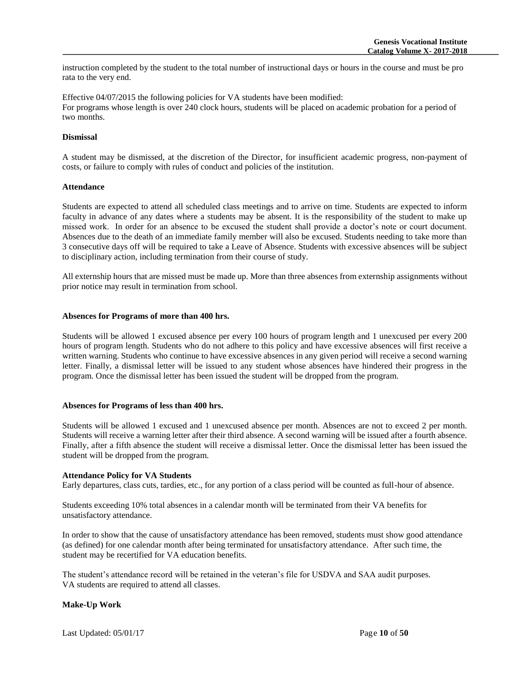instruction completed by the student to the total number of instructional days or hours in the course and must be pro rata to the very end.

Effective 04/07/2015 the following policies for VA students have been modified: For programs whose length is over 240 clock hours, students will be placed on academic probation for a period of two months.

# **Dismissal**

A student may be dismissed, at the discretion of the Director, for insufficient academic progress, non-payment of costs, or failure to comply with rules of conduct and policies of the institution.

#### **Attendance**

Students are expected to attend all scheduled class meetings and to arrive on time. Students are expected to inform faculty in advance of any dates where a students may be absent. It is the responsibility of the student to make up missed work. In order for an absence to be excused the student shall provide a doctor's note or court document. Absences due to the death of an immediate family member will also be excused. Students needing to take more than 3 consecutive days off will be required to take a Leave of Absence. Students with excessive absences will be subject to disciplinary action, including termination from their course of study.

All externship hours that are missed must be made up. More than three absences from externship assignments without prior notice may result in termination from school.

#### **Absences for Programs of more than 400 hrs.**

Students will be allowed 1 excused absence per every 100 hours of program length and 1 unexcused per every 200 hours of program length. Students who do not adhere to this policy and have excessive absences will first receive a written warning. Students who continue to have excessive absences in any given period will receive a second warning letter. Finally, a dismissal letter will be issued to any student whose absences have hindered their progress in the program. Once the dismissal letter has been issued the student will be dropped from the program.

#### **Absences for Programs of less than 400 hrs.**

Students will be allowed 1 excused and 1 unexcused absence per month. Absences are not to exceed 2 per month. Students will receive a warning letter after their third absence. A second warning will be issued after a fourth absence. Finally, after a fifth absence the student will receive a dismissal letter. Once the dismissal letter has been issued the student will be dropped from the program.

#### **Attendance Policy for VA Students**

Early departures, class cuts, tardies, etc., for any portion of a class period will be counted as full-hour of absence.

Students exceeding 10% total absences in a calendar month will be terminated from their VA benefits for unsatisfactory attendance.

In order to show that the cause of unsatisfactory attendance has been removed, students must show good attendance (as defined) for one calendar month after being terminated for unsatisfactory attendance. After such time, the student may be recertified for VA education benefits.

The student's attendance record will be retained in the veteran's file for USDVA and SAA audit purposes. VA students are required to attend all classes.

# **Make-Up Work**

Last Updated: 05/01/17 Page **10** of **50**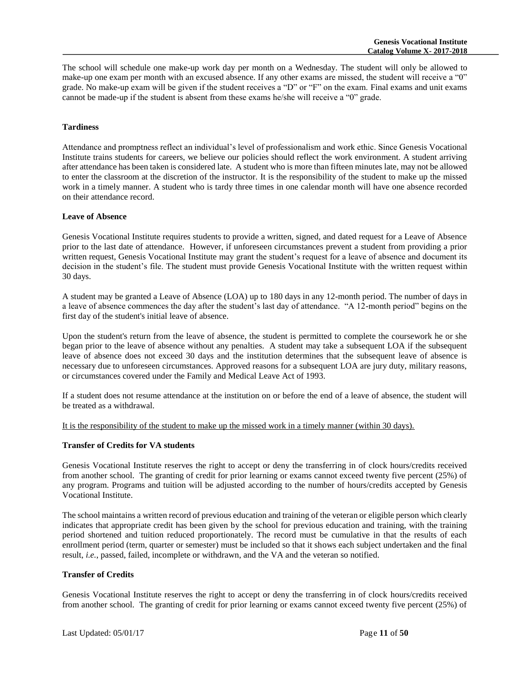The school will schedule one make-up work day per month on a Wednesday. The student will only be allowed to make-up one exam per month with an excused absence. If any other exams are missed, the student will receive a "0" grade. No make-up exam will be given if the student receives a "D" or "F" on the exam. Final exams and unit exams cannot be made-up if the student is absent from these exams he/she will receive a "0" grade.

# **Tardiness**

Attendance and promptness reflect an individual's level of professionalism and work ethic. Since Genesis Vocational Institute trains students for careers, we believe our policies should reflect the work environment. A student arriving after attendance has been taken is considered late. A student who is more than fifteen minutes late, may not be allowed to enter the classroom at the discretion of the instructor. It is the responsibility of the student to make up the missed work in a timely manner. A student who is tardy three times in one calendar month will have one absence recorded on their attendance record.

#### **Leave of Absence**

Genesis Vocational Institute requires students to provide a written, signed, and dated request for a Leave of Absence prior to the last date of attendance. However, if unforeseen circumstances prevent a student from providing a prior written request, Genesis Vocational Institute may grant the student's request for a leave of absence and document its decision in the student's file. The student must provide Genesis Vocational Institute with the written request within 30 days.

A student may be granted a Leave of Absence (LOA) up to 180 days in any 12-month period. The number of days in a leave of absence commences the day after the student's last day of attendance. "A 12-month period" begins on the first day of the student's initial leave of absence.

Upon the student's return from the leave of absence, the student is permitted to complete the coursework he or she began prior to the leave of absence without any penalties. A student may take a subsequent LOA if the subsequent leave of absence does not exceed 30 days and the institution determines that the subsequent leave of absence is necessary due to unforeseen circumstances. Approved reasons for a subsequent LOA are jury duty, military reasons, or circumstances covered under the Family and Medical Leave Act of 1993.

If a student does not resume attendance at the institution on or before the end of a leave of absence, the student will be treated as a withdrawal.

It is the responsibility of the student to make up the missed work in a timely manner (within 30 days).

# **Transfer of Credits for VA students**

Genesis Vocational Institute reserves the right to accept or deny the transferring in of clock hours/credits received from another school. The granting of credit for prior learning or exams cannot exceed twenty five percent (25%) of any program. Programs and tuition will be adjusted according to the number of hours/credits accepted by Genesis Vocational Institute.

The school maintains a written record of previous education and training of the veteran or eligible person which clearly indicates that appropriate credit has been given by the school for previous education and training, with the training period shortened and tuition reduced proportionately. The record must be cumulative in that the results of each enrollment period (term, quarter or semester) must be included so that it shows each subject undertaken and the final result, *i.e.*, passed, failed, incomplete or withdrawn, and the VA and the veteran so notified.

#### **Transfer of Credits**

Genesis Vocational Institute reserves the right to accept or deny the transferring in of clock hours/credits received from another school. The granting of credit for prior learning or exams cannot exceed twenty five percent (25%) of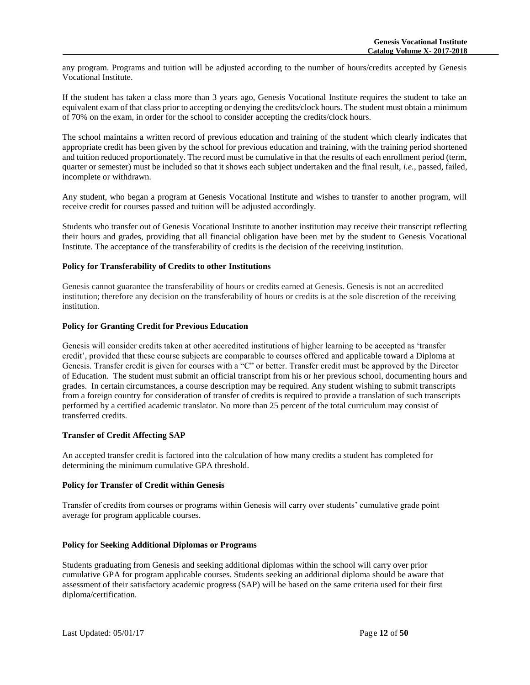any program. Programs and tuition will be adjusted according to the number of hours/credits accepted by Genesis Vocational Institute.

If the student has taken a class more than 3 years ago, Genesis Vocational Institute requires the student to take an equivalent exam of that class prior to accepting or denying the credits/clock hours. The student must obtain a minimum of 70% on the exam, in order for the school to consider accepting the credits/clock hours.

The school maintains a written record of previous education and training of the student which clearly indicates that appropriate credit has been given by the school for previous education and training, with the training period shortened and tuition reduced proportionately. The record must be cumulative in that the results of each enrollment period (term, quarter or semester) must be included so that it shows each subject undertaken and the final result, *i.e.*, passed, failed, incomplete or withdrawn.

Any student, who began a program at Genesis Vocational Institute and wishes to transfer to another program, will receive credit for courses passed and tuition will be adjusted accordingly.

Students who transfer out of Genesis Vocational Institute to another institution may receive their transcript reflecting their hours and grades, providing that all financial obligation have been met by the student to Genesis Vocational Institute. The acceptance of the transferability of credits is the decision of the receiving institution.

# **Policy for Transferability of Credits to other Institutions**

Genesis cannot guarantee the transferability of hours or credits earned at Genesis. Genesis is not an accredited institution; therefore any decision on the transferability of hours or credits is at the sole discretion of the receiving institution.

# **Policy for Granting Credit for Previous Education**

Genesis will consider credits taken at other accredited institutions of higher learning to be accepted as 'transfer credit', provided that these course subjects are comparable to courses offered and applicable toward a Diploma at Genesis. Transfer credit is given for courses with a "C" or better. Transfer credit must be approved by the Director of Education. The student must submit an official transcript from his or her previous school, documenting hours and grades. In certain circumstances, a course description may be required. Any student wishing to submit transcripts from a foreign country for consideration of transfer of credits is required to provide a translation of such transcripts performed by a certified academic translator. No more than 25 percent of the total curriculum may consist of transferred credits.

# **Transfer of Credit Affecting SAP**

An accepted transfer credit is factored into the calculation of how many credits a student has completed for determining the minimum cumulative GPA threshold.

#### **Policy for Transfer of Credit within Genesis**

Transfer of credits from courses or programs within Genesis will carry over students' cumulative grade point average for program applicable courses.

#### **Policy for Seeking Additional Diplomas or Programs**

Students graduating from Genesis and seeking additional diplomas within the school will carry over prior cumulative GPA for program applicable courses. Students seeking an additional diploma should be aware that assessment of their satisfactory academic progress (SAP) will be based on the same criteria used for their first diploma/certification.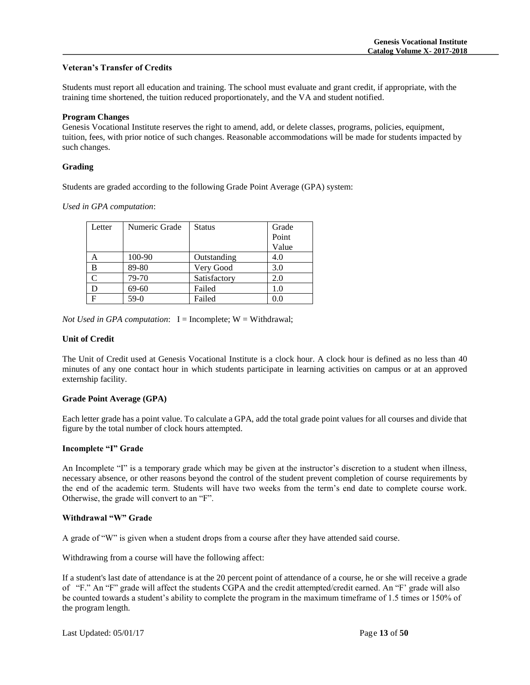# **Veteran's Transfer of Credits**

Students must report all education and training. The school must evaluate and grant credit, if appropriate, with the training time shortened, the tuition reduced proportionately, and the VA and student notified.

#### **Program Changes**

Genesis Vocational Institute reserves the right to amend, add, or delete classes, programs, policies, equipment, tuition, fees, with prior notice of such changes. Reasonable accommodations will be made for students impacted by such changes.

#### **Grading**

Students are graded according to the following Grade Point Average (GPA) system:

*Used in GPA computation*:

| Letter       | Numeric Grade | <b>Status</b> | Grade |
|--------------|---------------|---------------|-------|
|              |               |               | Point |
|              |               |               | Value |
| Α            | 100-90        | Outstanding   | 4.0   |
| B            | 89-80         | Very Good     | 3.0   |
| C            | 79-70         | Satisfactory  | 2.0   |
| D            | 69-60         | Failed        | 1.0   |
| $\mathbf{F}$ | $59-0$        | Failed        | 0.0   |

*Not Used in GPA computation*:  $I = Incomplete$ ;  $W = Withdrawal$ ;

#### **Unit of Credit**

The Unit of Credit used at Genesis Vocational Institute is a clock hour. A clock hour is defined as no less than 40 minutes of any one contact hour in which students participate in learning activities on campus or at an approved externship facility.

#### **Grade Point Average (GPA)**

Each letter grade has a point value. To calculate a GPA, add the total grade point values for all courses and divide that figure by the total number of clock hours attempted.

#### **Incomplete "I" Grade**

An Incomplete "I" is a temporary grade which may be given at the instructor's discretion to a student when illness, necessary absence, or other reasons beyond the control of the student prevent completion of course requirements by the end of the academic term. Students will have two weeks from the term's end date to complete course work. Otherwise, the grade will convert to an "F".

#### **Withdrawal "W" Grade**

A grade of "W" is given when a student drops from a course after they have attended said course.

Withdrawing from a course will have the following affect:

If a student's last date of attendance is at the 20 percent point of attendance of a course, he or she will receive a grade of "F." An "F" grade will affect the students CGPA and the credit attempted/credit earned. An "F' grade will also be counted towards a student's ability to complete the program in the maximum timeframe of 1.5 times or 150% of the program length.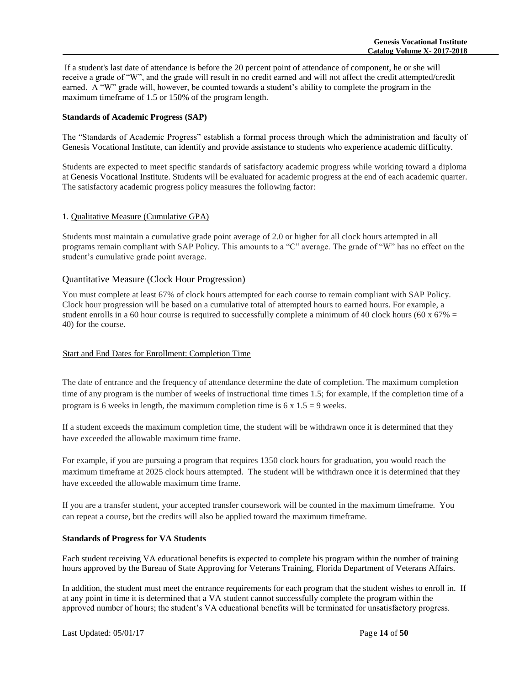If a student's last date of attendance is before the 20 percent point of attendance of component, he or she will receive a grade of "W", and the grade will result in no credit earned and will not affect the credit attempted/credit earned. A "W" grade will, however, be counted towards a student's ability to complete the program in the maximum timeframe of 1.5 or 150% of the program length.

# **Standards of Academic Progress (SAP)**

The "Standards of Academic Progress" establish a formal process through which the administration and faculty of Genesis Vocational Institute, can identify and provide assistance to students who experience academic difficulty.

Students are expected to meet specific standards of satisfactory academic progress while working toward a diploma at Genesis Vocational Institute. Students will be evaluated for academic progress at the end of each academic quarter. The satisfactory academic progress policy measures the following factor:

# 1. Qualitative Measure (Cumulative GPA)

Students must maintain a cumulative grade point average of 2.0 or higher for all clock hours attempted in all programs remain compliant with SAP Policy. This amounts to a "C" average. The grade of "W" has no effect on the student's cumulative grade point average.

# Quantitative Measure (Clock Hour Progression)

You must complete at least 67% of clock hours attempted for each course to remain compliant with SAP Policy. Clock hour progression will be based on a cumulative total of attempted hours to earned hours. For example, a student enrolls in a 60 hour course is required to successfully complete a minimum of 40 clock hours (60 x  $67\%$  = 40) for the course.

#### Start and End Dates for Enrollment: Completion Time

The date of entrance and the frequency of attendance determine the date of completion. The maximum completion time of any program is the number of weeks of instructional time times 1.5; for example, if the completion time of a program is 6 weeks in length, the maximum completion time is  $6 \times 1.5 = 9$  weeks.

If a student exceeds the maximum completion time, the student will be withdrawn once it is determined that they have exceeded the allowable maximum time frame.

For example, if you are pursuing a program that requires 1350 clock hours for graduation, you would reach the maximum timeframe at 2025 clock hours attempted. The student will be withdrawn once it is determined that they have exceeded the allowable maximum time frame.

If you are a transfer student, your accepted transfer coursework will be counted in the maximum timeframe. You can repeat a course, but the credits will also be applied toward the maximum timeframe.

#### **Standards of Progress for VA Students**

Each student receiving VA educational benefits is expected to complete his program within the number of training hours approved by the Bureau of State Approving for Veterans Training, Florida Department of Veterans Affairs.

In addition, the student must meet the entrance requirements for each program that the student wishes to enroll in. If at any point in time it is determined that a VA student cannot successfully complete the program within the approved number of hours; the student's VA educational benefits will be terminated for unsatisfactory progress.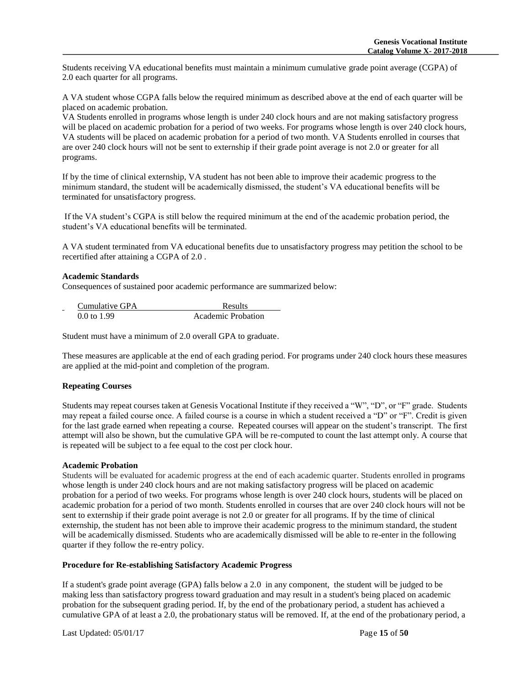Students receiving VA educational benefits must maintain a minimum cumulative grade point average (CGPA) of 2.0 each quarter for all programs.

A VA student whose CGPA falls below the required minimum as described above at the end of each quarter will be placed on academic probation.

VA Students enrolled in programs whose length is under 240 clock hours and are not making satisfactory progress will be placed on academic probation for a period of two weeks. For programs whose length is over 240 clock hours, VA students will be placed on academic probation for a period of two month. VA Students enrolled in courses that are over 240 clock hours will not be sent to externship if their grade point average is not 2.0 or greater for all programs.

If by the time of clinical externship, VA student has not been able to improve their academic progress to the minimum standard, the student will be academically dismissed, the student's VA educational benefits will be terminated for unsatisfactory progress.

If the VA student's CGPA is still below the required minimum at the end of the academic probation period, the student's VA educational benefits will be terminated.

A VA student terminated from VA educational benefits due to unsatisfactory progress may petition the school to be recertified after attaining a CGPA of 2.0 .

#### **Academic Standards**

Consequences of sustained poor academic performance are summarized below:

| Cumulative GPA<br>- | <b>Results</b>            |
|---------------------|---------------------------|
| 0.0 to 1.99         | <b>Academic Probation</b> |

Student must have a minimum of 2.0 overall GPA to graduate.

These measures are applicable at the end of each grading period. For programs under 240 clock hours these measures are applied at the mid-point and completion of the program.

# **Repeating Courses**

Students may repeat courses taken at Genesis Vocational Institute if they received a "W", "D", or "F" grade. Students may repeat a failed course once. A failed course is a course in which a student received a "D" or "F". Credit is given for the last grade earned when repeating a course. Repeated courses will appear on the student's transcript. The first attempt will also be shown, but the cumulative GPA will be re-computed to count the last attempt only. A course that is repeated will be subject to a fee equal to the cost per clock hour.

#### **Academic Probation**

Students will be evaluated for academic progress at the end of each academic quarter. Students enrolled in programs whose length is under 240 clock hours and are not making satisfactory progress will be placed on academic probation for a period of two weeks. For programs whose length is over 240 clock hours, students will be placed on academic probation for a period of two month. Students enrolled in courses that are over 240 clock hours will not be sent to externship if their grade point average is not 2.0 or greater for all programs. If by the time of clinical externship, the student has not been able to improve their academic progress to the minimum standard, the student will be academically dismissed. Students who are academically dismissed will be able to re-enter in the following quarter if they follow the re-entry policy.

#### **Procedure for Re-establishing Satisfactory Academic Progress**

If a student's grade point average (GPA) falls below a 2.0 in any component, the student will be judged to be making less than satisfactory progress toward graduation and may result in a student's being placed on academic probation for the subsequent grading period. If, by the end of the probationary period, a student has achieved a cumulative GPA of at least a 2.0, the probationary status will be removed. If, at the end of the probationary period, a

Last Updated: 05/01/17 Page **15** of **50**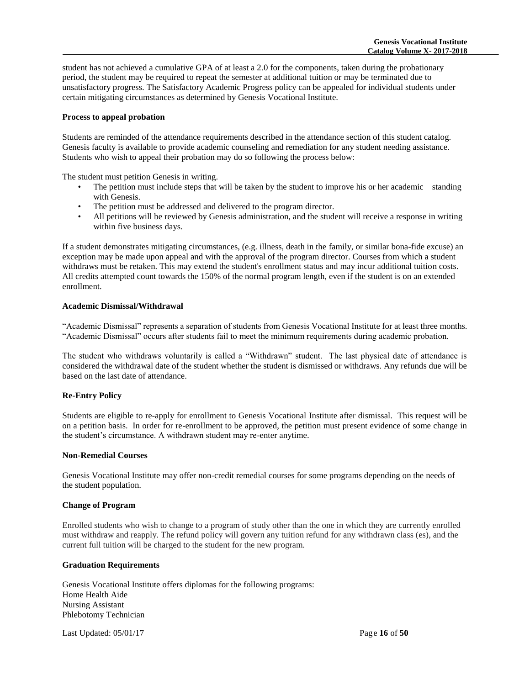student has not achieved a cumulative GPA of at least a 2.0 for the components, taken during the probationary period, the student may be required to repeat the semester at additional tuition or may be terminated due to unsatisfactory progress. The Satisfactory Academic Progress policy can be appealed for individual students under certain mitigating circumstances as determined by Genesis Vocational Institute.

#### **Process to appeal probation**

Students are reminded of the attendance requirements described in the attendance section of this student catalog. Genesis faculty is available to provide academic counseling and remediation for any student needing assistance. Students who wish to appeal their probation may do so following the process below:

The student must petition Genesis in writing.

- The petition must include steps that will be taken by the student to improve his or her academic standing with Genesis.
- The petition must be addressed and delivered to the program director.
- All petitions will be reviewed by Genesis administration, and the student will receive a response in writing within five business days.

If a student demonstrates mitigating circumstances, (e.g. illness, death in the family, or similar bona-fide excuse) an exception may be made upon appeal and with the approval of the program director. Courses from which a student withdraws must be retaken. This may extend the student's enrollment status and may incur additional tuition costs. All credits attempted count towards the 150% of the normal program length, even if the student is on an extended enrollment.

# **Academic Dismissal/Withdrawal**

"Academic Dismissal" represents a separation of students from Genesis Vocational Institute for at least three months. "Academic Dismissal" occurs after students fail to meet the minimum requirements during academic probation.

The student who withdraws voluntarily is called a "Withdrawn" student. The last physical date of attendance is considered the withdrawal date of the student whether the student is dismissed or withdraws. Any refunds due will be based on the last date of attendance.

# **Re-Entry Policy**

Students are eligible to re-apply for enrollment to Genesis Vocational Institute after dismissal. This request will be on a petition basis. In order for re-enrollment to be approved, the petition must present evidence of some change in the student's circumstance. A withdrawn student may re-enter anytime.

#### **Non-Remedial Courses**

Genesis Vocational Institute may offer non-credit remedial courses for some programs depending on the needs of the student population.

#### **Change of Program**

Enrolled students who wish to change to a program of study other than the one in which they are currently enrolled must withdraw and reapply. The refund policy will govern any tuition refund for any withdrawn class (es), and the current full tuition will be charged to the student for the new program.

#### **Graduation Requirements**

Genesis Vocational Institute offers diplomas for the following programs: Home Health Aide Nursing Assistant Phlebotomy Technician

Last Updated: 05/01/17 Page **16** of **50**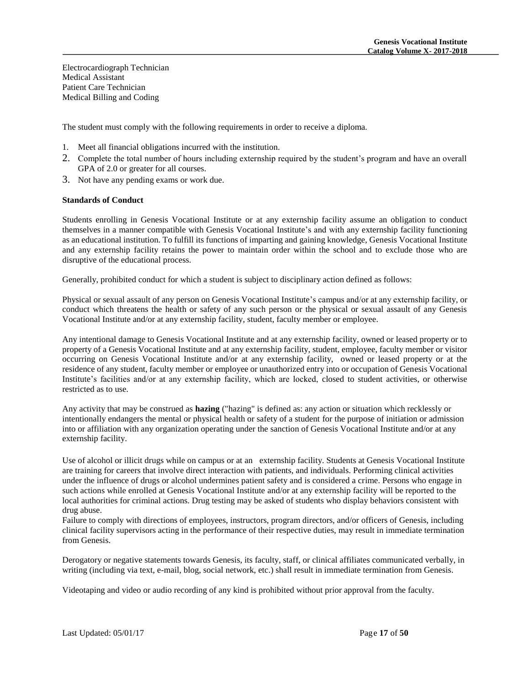Electrocardiograph Technician Medical Assistant Patient Care Technician Medical Billing and Coding

The student must comply with the following requirements in order to receive a diploma.

- 1. Meet all financial obligations incurred with the institution.
- 2. Complete the total number of hours including externship required by the student's program and have an overall GPA of 2.0 or greater for all courses.
- 3. Not have any pending exams or work due.

# **Standards of Conduct**

Students enrolling in Genesis Vocational Institute or at any externship facility assume an obligation to conduct themselves in a manner compatible with Genesis Vocational Institute's and with any externship facility functioning as an educational institution. To fulfill its functions of imparting and gaining knowledge, Genesis Vocational Institute and any externship facility retains the power to maintain order within the school and to exclude those who are disruptive of the educational process.

Generally, prohibited conduct for which a student is subject to disciplinary action defined as follows:

Physical or sexual assault of any person on Genesis Vocational Institute's campus and/or at any externship facility, or conduct which threatens the health or safety of any such person or the physical or sexual assault of any Genesis Vocational Institute and/or at any externship facility, student, faculty member or employee.

Any intentional damage to Genesis Vocational Institute and at any externship facility, owned or leased property or to property of a Genesis Vocational Institute and at any externship facility, student, employee, faculty member or visitor occurring on Genesis Vocational Institute and/or at any externship facility, owned or leased property or at the residence of any student, faculty member or employee or unauthorized entry into or occupation of Genesis Vocational Institute's facilities and/or at any externship facility, which are locked, closed to student activities, or otherwise restricted as to use.

Any activity that may be construed as **hazing** ("hazing" is defined as: any action or situation which recklessly or intentionally endangers the mental or physical health or safety of a student for the purpose of initiation or admission into or affiliation with any organization operating under the sanction of Genesis Vocational Institute and/or at any externship facility.

Use of alcohol or illicit drugs while on campus or at an externship facility. Students at Genesis Vocational Institute are training for careers that involve direct interaction with patients, and individuals. Performing clinical activities under the influence of drugs or alcohol undermines patient safety and is considered a crime. Persons who engage in such actions while enrolled at Genesis Vocational Institute and/or at any externship facility will be reported to the local authorities for criminal actions. Drug testing may be asked of students who display behaviors consistent with drug abuse.

Failure to comply with directions of employees, instructors, program directors, and/or officers of Genesis, including clinical facility supervisors acting in the performance of their respective duties, may result in immediate termination from Genesis.

Derogatory or negative statements towards Genesis, its faculty, staff, or clinical affiliates communicated verbally, in writing (including via text, e-mail, blog, social network, etc.) shall result in immediate termination from Genesis.

Videotaping and video or audio recording of any kind is prohibited without prior approval from the faculty.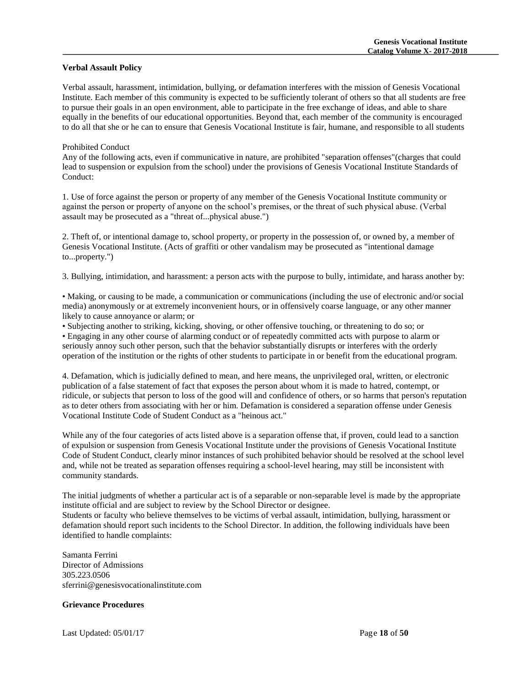#### **Verbal Assault Policy**

Verbal assault, harassment, intimidation, bullying, or defamation interferes with the mission of Genesis Vocational Institute. Each member of this community is expected to be sufficiently tolerant of others so that all students are free to pursue their goals in an open environment, able to participate in the free exchange of ideas, and able to share equally in the benefits of our educational opportunities. Beyond that, each member of the community is encouraged to do all that she or he can to ensure that Genesis Vocational Institute is fair, humane, and responsible to all students

#### Prohibited Conduct

Any of the following acts, even if communicative in nature, are prohibited "separation offenses"(charges that could lead to suspension or expulsion from the school) under the provisions of Genesis Vocational Institute Standards of Conduct:

1. Use of force against the person or property of any member of the Genesis Vocational Institute community or against the person or property of anyone on the school's premises, or the threat of such physical abuse. (Verbal assault may be prosecuted as a "threat of...physical abuse.")

2. Theft of, or intentional damage to, school property, or property in the possession of, or owned by, a member of Genesis Vocational Institute. (Acts of graffiti or other vandalism may be prosecuted as "intentional damage to...property.")

3. Bullying, intimidation, and harassment: a person acts with the purpose to bully, intimidate, and harass another by:

• Making, or causing to be made, a communication or communications (including the use of electronic and/or social media) anonymously or at extremely inconvenient hours, or in offensively coarse language, or any other manner likely to cause annoyance or alarm; or

• Subjecting another to striking, kicking, shoving, or other offensive touching, or threatening to do so; or

• Engaging in any other course of alarming conduct or of repeatedly committed acts with purpose to alarm or seriously annoy such other person, such that the behavior substantially disrupts or interferes with the orderly operation of the institution or the rights of other students to participate in or benefit from the educational program.

4. Defamation, which is judicially defined to mean, and here means, the unprivileged oral, written, or electronic publication of a false statement of fact that exposes the person about whom it is made to hatred, contempt, or ridicule, or subjects that person to loss of the good will and confidence of others, or so harms that person's reputation as to deter others from associating with her or him. Defamation is considered a separation offense under Genesis Vocational Institute Code of Student Conduct as a "heinous act."

While any of the four categories of acts listed above is a separation offense that, if proven, could lead to a sanction of expulsion or suspension from Genesis Vocational Institute under the provisions of Genesis Vocational Institute Code of Student Conduct, clearly minor instances of such prohibited behavior should be resolved at the school level and, while not be treated as separation offenses requiring a school-level hearing, may still be inconsistent with community standards.

The initial judgments of whether a particular act is of a separable or non-separable level is made by the appropriate institute official and are subject to review by the School Director or designee. Students or faculty who believe themselves to be victims of verbal assault, intimidation, bullying, harassment or defamation should report such incidents to the School Director. In addition, the following individuals have been

identified to handle complaints:

Samanta Ferrini Director of Admissions 305.223.0506 sferrini@genesisvocationalinstitute.com

# **Grievance Procedures**

Last Updated: 05/01/17 Page **18** of **50**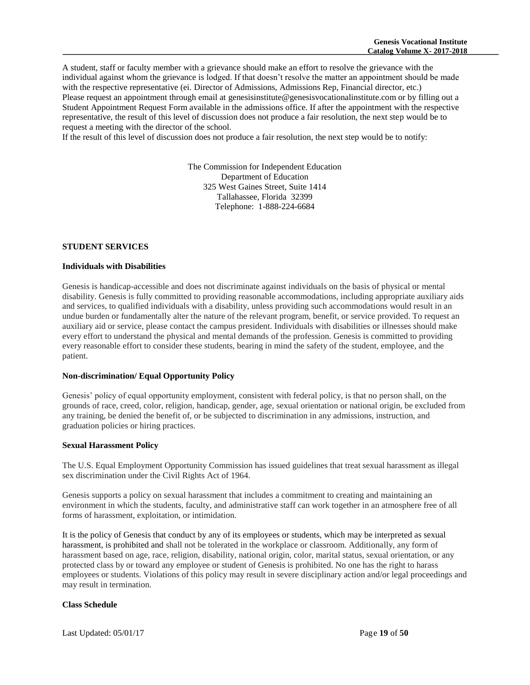A student, staff or faculty member with a grievance should make an effort to resolve the grievance with the individual against whom the grievance is lodged. If that doesn't resolve the matter an appointment should be made with the respective representative (ei. Director of Admissions, Admissions Rep, Financial director, etc.) Please request an appointment through email at genesisinstitute@genesisvocationalinstitute.com or by filling out a Student Appointment Request Form available in the admissions office. If after the appointment with the respective representative, the result of this level of discussion does not produce a fair resolution, the next step would be to request a meeting with the director of the school.

If the result of this level of discussion does not produce a fair resolution, the next step would be to notify:

The Commission for Independent Education Department of Education 325 West Gaines Street, Suite 1414 Tallahassee, Florida 32399 Telephone: 1-888-224-6684

#### **STUDENT SERVICES**

#### **Individuals with Disabilities**

Genesis is handicap-accessible and does not discriminate against individuals on the basis of physical or mental disability. Genesis is fully committed to providing reasonable accommodations, including appropriate auxiliary aids and services, to qualified individuals with a disability, unless providing such accommodations would result in an undue burden or fundamentally alter the nature of the relevant program, benefit, or service provided. To request an auxiliary aid or service, please contact the campus president. Individuals with disabilities or illnesses should make every effort to understand the physical and mental demands of the profession. Genesis is committed to providing every reasonable effort to consider these students, bearing in mind the safety of the student, employee, and the patient.

#### **Non-discrimination/ Equal Opportunity Policy**

Genesis' policy of equal opportunity employment, consistent with federal policy, is that no person shall, on the grounds of race, creed, color, religion, handicap, gender, age, sexual orientation or national origin, be excluded from any training, be denied the benefit of, or be subjected to discrimination in any admissions, instruction, and graduation policies or hiring practices.

#### **Sexual Harassment Policy**

The U.S. Equal Employment Opportunity Commission has issued guidelines that treat sexual harassment as illegal sex discrimination under the Civil Rights Act of 1964.

Genesis supports a policy on sexual harassment that includes a commitment to creating and maintaining an environment in which the students, faculty, and administrative staff can work together in an atmosphere free of all forms of harassment, exploitation, or intimidation.

It is the policy of Genesis that conduct by any of its employees or students, which may be interpreted as sexual harassment, is prohibited and shall not be tolerated in the workplace or classroom. Additionally, any form of harassment based on age, race, religion, disability, national origin, color, marital status, sexual orientation, or any protected class by or toward any employee or student of Genesis is prohibited. No one has the right to harass employees or students. Violations of this policy may result in severe disciplinary action and/or legal proceedings and may result in termination.

# **Class Schedule**

Last Updated: 05/01/17 Page **19** of **50**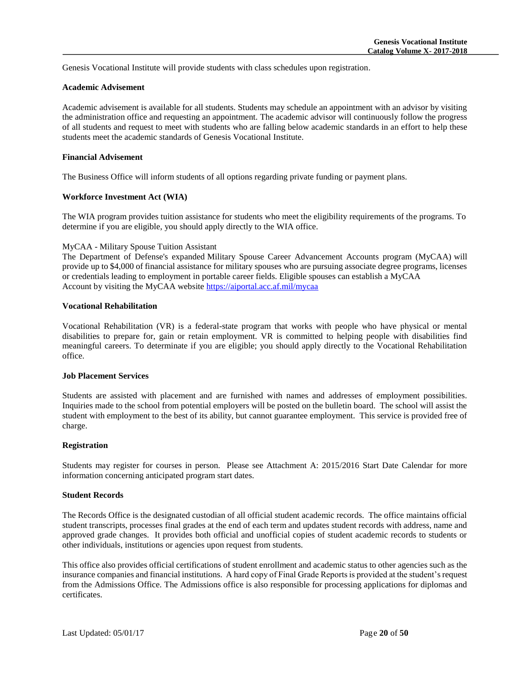Genesis Vocational Institute will provide students with class schedules upon registration.

#### **Academic Advisement**

Academic advisement is available for all students. Students may schedule an appointment with an advisor by visiting the administration office and requesting an appointment. The academic advisor will continuously follow the progress of all students and request to meet with students who are falling below academic standards in an effort to help these students meet the academic standards of Genesis Vocational Institute.

# **Financial Advisement**

The Business Office will inform students of all options regarding private funding or payment plans.

# **Workforce Investment Act (WIA)**

The WIA program provides tuition assistance for students who meet the eligibility requirements of the programs. To determine if you are eligible, you should apply directly to the WIA office.

# MyCAA - Military Spouse Tuition Assistant

The Department of Defense's expanded Military Spouse Career Advancement Accounts program (MyCAA) will provide up to \$4,000 of financial assistance for military spouses who are pursuing associate degree programs, licenses or credentials leading to employment in portable career fields. Eligible spouses can establish a MyCAA Account by visiting the MyCAA website<https://aiportal.acc.af.mil/mycaa>

# **Vocational Rehabilitation**

Vocational Rehabilitation (VR) is a federal-state program that works with people who have physical or mental disabilities to prepare for, gain or retain employment. VR is committed to helping people with disabilities find meaningful careers. To determinate if you are eligible; you should apply directly to the Vocational Rehabilitation office.

#### **Job Placement Services**

Students are assisted with placement and are furnished with names and addresses of employment possibilities. Inquiries made to the school from potential employers will be posted on the bulletin board. The school will assist the student with employment to the best of its ability, but cannot guarantee employment. This service is provided free of charge.

#### **Registration**

Students may register for courses in person. Please see Attachment A: 2015/2016 Start Date Calendar for more information concerning anticipated program start dates.

#### **Student Records**

The Records Office is the designated custodian of all official student academic records. The office maintains official student transcripts, processes final grades at the end of each term and updates student records with address, name and approved grade changes. It provides both official and unofficial copies of student academic records to students or other individuals, institutions or agencies upon request from students.

This office also provides official certifications of student enrollment and academic status to other agencies such as the insurance companies and financial institutions. A hard copy of Final Grade Reports is provided at the student's request from the Admissions Office. The Admissions office is also responsible for processing applications for diplomas and certificates.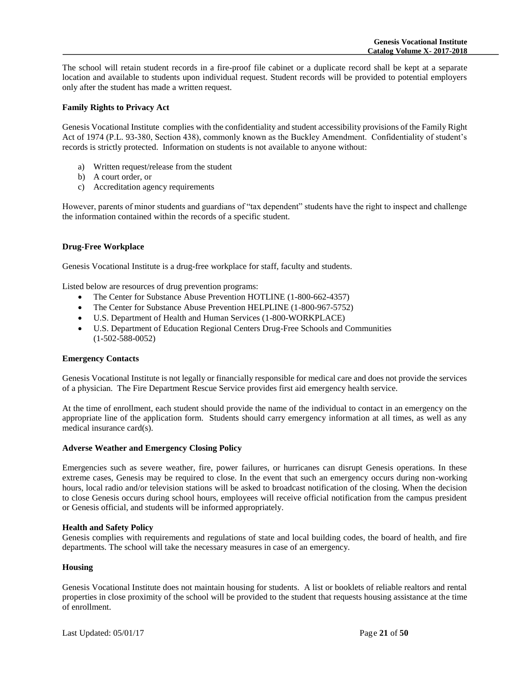The school will retain student records in a fire-proof file cabinet or a duplicate record shall be kept at a separate location and available to students upon individual request. Student records will be provided to potential employers only after the student has made a written request.

# **Family Rights to Privacy Act**

Genesis Vocational Institute complies with the confidentiality and student accessibility provisions of the Family Right Act of 1974 (P.L. 93-380, Section 438), commonly known as the Buckley Amendment. Confidentiality of student's records is strictly protected. Information on students is not available to anyone without:

- a) Written request/release from the student
- b) A court order, or
- c) Accreditation agency requirements

However, parents of minor students and guardians of "tax dependent" students have the right to inspect and challenge the information contained within the records of a specific student.

# **Drug-Free Workplace**

Genesis Vocational Institute is a drug-free workplace for staff, faculty and students.

Listed below are resources of drug prevention programs:

- The Center for Substance Abuse Prevention HOTLINE (1-800-662-4357)
- The Center for Substance Abuse Prevention HELPLINE (1-800-967-5752)
- U.S. Department of Health and Human Services (1-800-WORKPLACE)
- U.S. Department of Education Regional Centers Drug-Free Schools and Communities (1-502-588-0052)

#### **Emergency Contacts**

Genesis Vocational Institute is not legally or financially responsible for medical care and does not provide the services of a physician. The Fire Department Rescue Service provides first aid emergency health service.

At the time of enrollment, each student should provide the name of the individual to contact in an emergency on the appropriate line of the application form. Students should carry emergency information at all times, as well as any medical insurance card(s).

#### **Adverse Weather and Emergency Closing Policy**

Emergencies such as severe weather, fire, power failures, or hurricanes can disrupt Genesis operations. In these extreme cases, Genesis may be required to close. In the event that such an emergency occurs during non-working hours, local radio and/or television stations will be asked to broadcast notification of the closing. When the decision to close Genesis occurs during school hours, employees will receive official notification from the campus president or Genesis official, and students will be informed appropriately.

#### **Health and Safety Policy**

Genesis complies with requirements and regulations of state and local building codes, the board of health, and fire departments. The school will take the necessary measures in case of an emergency.

#### **Housing**

Genesis Vocational Institute does not maintain housing for students. A list or booklets of reliable realtors and rental properties in close proximity of the school will be provided to the student that requests housing assistance at the time of enrollment.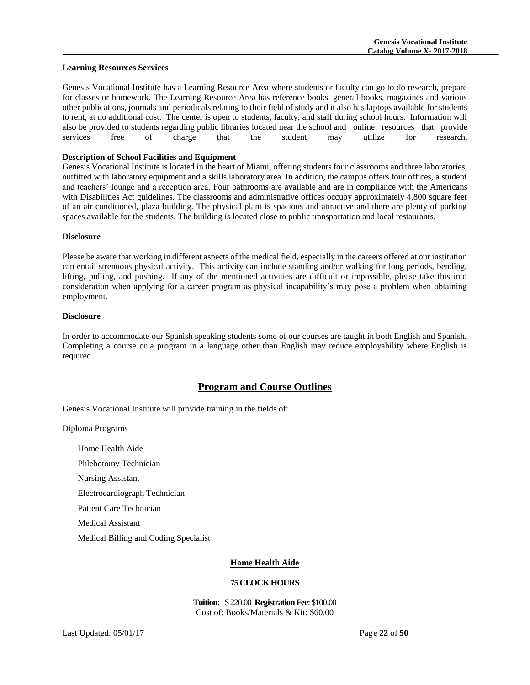#### **Learning Resources Services**

Genesis Vocational Institute has a Learning Resource Area where students or faculty can go to do research, prepare for classes or homework. The Learning Resource Area has reference books, general books, magazines and various other publications, journals and periodicals relating to their field of study and it also has laptops available for students to rent, at no additional cost. The center is open to students, faculty, and staff during school hours. Information will also be provided to students regarding public libraries located near the school and online resources that provide services free of charge that the student may utilize for research.

# **Description of School Facilities and Equipment**

Genesis Vocational Institute is located in the heart of Miami, offering students four classrooms and three laboratories, outfitted with laboratory equipment and a skills laboratory area. In addition, the campus offers four offices, a student and teachers' lounge and a reception area. Four bathrooms are available and are in compliance with the Americans with Disabilities Act guidelines. The classrooms and administrative offices occupy approximately 4,800 square feet of an air conditioned, plaza building. The physical plant is spacious and attractive and there are plenty of parking spaces available for the students. The building is located close to public transportation and local restaurants.

#### **Disclosure**

Please be aware that working in different aspects of the medical field, especially in the careers offered at our institution can entail strenuous physical activity. This activity can include standing and/or walking for long periods, bending, lifting, pulling, and pushing. If any of the mentioned activities are difficult or impossible, please take this into consideration when applying for a career program as physical incapability's may pose a problem when obtaining employment.

# **Disclosure**

In order to accommodate our Spanish speaking students some of our courses are taught in both English and Spanish. Completing a course or a program in a language other than English may reduce employability where English is required.

# **Program and Course Outlines**

Genesis Vocational Institute will provide training in the fields of:

Diploma Programs

Home Health Aide

Phlebotomy Technician

Nursing Assistant

Electrocardiograph Technician

Patient Care Technician

Medical Assistant

Medical Billing and Coding Specialist

# **Home Health Aide**

# **75 CLOCK HOURS**

**Tuition:** \$ 220.00 **Registration Fee**: \$100.00 Cost of: Books/Materials & Kit: \$60.00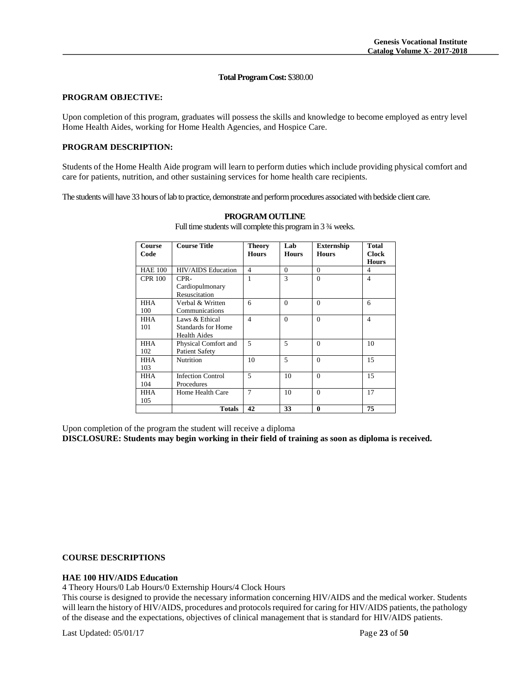#### **Total Program Cost:** \$380.00

#### **PROGRAM OBJECTIVE:**

Upon completion of this program, graduates will possess the skills and knowledge to become employed as entry level Home Health Aides, working for Home Health Agencies, and Hospice Care.

# **PROGRAM DESCRIPTION:**

Students of the Home Health Aide program will learn to perform duties which include providing physical comfort and care for patients, nutrition, and other sustaining services for home health care recipients.

The students will have 33 hours of lab to practice, demonstrate and perform procedures associated with bedside client care.

| Course<br>Code | <b>Course Title</b>              | <b>Theory</b><br><b>Hours</b> | Lab<br><b>Hours</b> | <b>Externship</b><br><b>Hours</b> | <b>Total</b><br><b>Clock</b><br><b>Hours</b> |
|----------------|----------------------------------|-------------------------------|---------------------|-----------------------------------|----------------------------------------------|
| <b>HAE 100</b> | <b>HIV/AIDS</b> Education        | $\overline{4}$                | $\Omega$            | $\Omega$                          | 4                                            |
| <b>CPR 100</b> | CPR-                             | 1                             | 3                   | $\Omega$                          | $\overline{4}$                               |
|                | Cardiopulmonary<br>Resuscitation |                               |                     |                                   |                                              |
| <b>HHA</b>     | Verbal & Written                 | 6                             | $\Omega$            | $\Omega$                          | 6                                            |
| 100            | Communications                   |                               |                     |                                   |                                              |
| HHA            | Laws & Ethical                   | $\overline{4}$                | $\Omega$            | $\Omega$                          | $\overline{4}$                               |
| 101            | Standards for Home               |                               |                     |                                   |                                              |
|                | <b>Health Aides</b>              |                               |                     |                                   |                                              |
| HHA            | Physical Comfort and             | 5                             | 5                   | $\Omega$                          | 10                                           |
| 102            | <b>Patient Safety</b>            |                               |                     |                                   |                                              |
| <b>HHA</b>     | Nutrition                        | 10                            | 5                   | $\Omega$                          | 15                                           |
| 103            |                                  |                               |                     |                                   |                                              |
| HHA            | <b>Infection Control</b>         | 5                             | 10                  | $\Omega$                          | 15                                           |
| 104            | Procedures                       |                               |                     |                                   |                                              |
| <b>HHA</b>     | Home Health Care                 | $\overline{7}$                | 10                  | $\Omega$                          | 17                                           |
| 105            |                                  |                               |                     |                                   |                                              |
|                | <b>Totals</b>                    | 42                            | 33                  | $\bf{0}$                          | 75                                           |

#### **PROGRAM OUTLINE**

Full time students will complete this program in 3 ¾ weeks.

Upon completion of the program the student will receive a diploma

**DISCLOSURE: Students may begin working in their field of training as soon as diploma is received.**

#### **COURSE DESCRIPTIONS**

#### **HAE 100 HIV/AIDS Education**

4 Theory Hours/0 Lab Hours/0 Externship Hours/4 Clock Hours

This course is designed to provide the necessary information concerning HIV/AIDS and the medical worker. Students will learn the history of HIV/AIDS, procedures and protocols required for caring for HIV/AIDS patients, the pathology of the disease and the expectations, objectives of clinical management that is standard for HIV/AIDS patients.

Last Updated: 05/01/17 Page **23** of **50**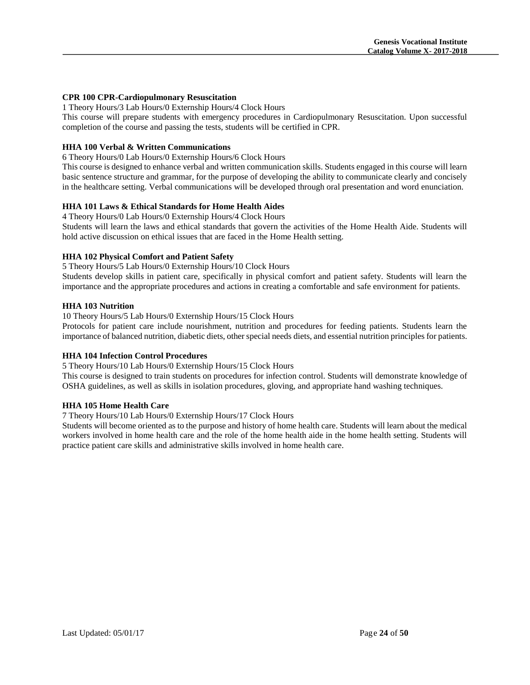# **CPR 100 CPR-Cardiopulmonary Resuscitation**

1 Theory Hours/3 Lab Hours/0 Externship Hours/4 Clock Hours

This course will prepare students with emergency procedures in Cardiopulmonary Resuscitation. Upon successful completion of the course and passing the tests, students will be certified in CPR.

# **HHA 100 Verbal & Written Communications**

6 Theory Hours/0 Lab Hours/0 Externship Hours/6 Clock Hours

This course is designed to enhance verbal and written communication skills. Students engaged in this course will learn basic sentence structure and grammar, for the purpose of developing the ability to communicate clearly and concisely in the healthcare setting. Verbal communications will be developed through oral presentation and word enunciation.

# **HHA 101 Laws & Ethical Standards for Home Health Aides**

4 Theory Hours/0 Lab Hours/0 Externship Hours/4 Clock Hours

Students will learn the laws and ethical standards that govern the activities of the Home Health Aide. Students will hold active discussion on ethical issues that are faced in the Home Health setting.

#### **HHA 102 Physical Comfort and Patient Safety**

5 Theory Hours/5 Lab Hours/0 Externship Hours/10 Clock Hours

Students develop skills in patient care, specifically in physical comfort and patient safety. Students will learn the importance and the appropriate procedures and actions in creating a comfortable and safe environment for patients.

#### **HHA 103 Nutrition**

10 Theory Hours/5 Lab Hours/0 Externship Hours/15 Clock Hours

Protocols for patient care include nourishment, nutrition and procedures for feeding patients. Students learn the importance of balanced nutrition, diabetic diets, other special needs diets, and essential nutrition principles for patients.

#### **HHA 104 Infection Control Procedures**

5 Theory Hours/10 Lab Hours/0 Externship Hours/15 Clock Hours

This course is designed to train students on procedures for infection control. Students will demonstrate knowledge of OSHA guidelines, as well as skills in isolation procedures, gloving, and appropriate hand washing techniques.

#### **HHA 105 Home Health Care**

7 Theory Hours/10 Lab Hours/0 Externship Hours/17 Clock Hours

Students will become oriented as to the purpose and history of home health care. Students will learn about the medical workers involved in home health care and the role of the home health aide in the home health setting. Students will practice patient care skills and administrative skills involved in home health care.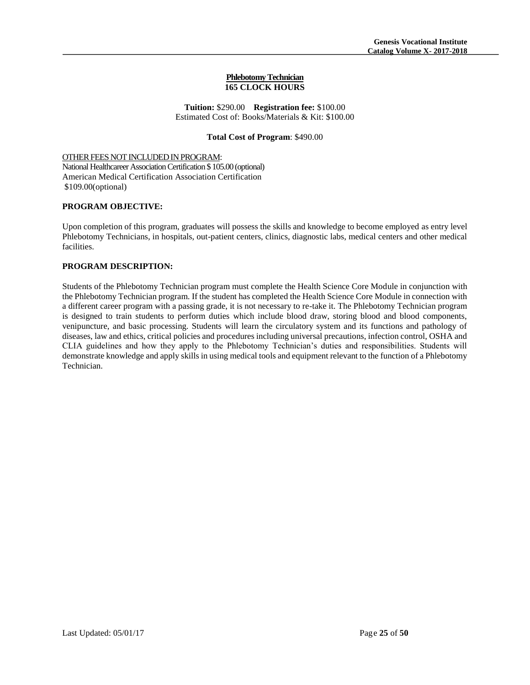#### **Phlebotomy Technician 165 CLOCK HOURS**

**Tuition:** \$290.00 **Registration fee:** \$100.00 Estimated Cost of: Books/Materials & Kit: \$100.00

# **Total Cost of Program**: \$490.00

#### OTHER FEES NOT INCLUDED IN PROGRAM:

National Healthcareer Association Certification \$ 105.00 (optional) American Medical Certification Association Certification \$109.00(optional)

# **PROGRAM OBJECTIVE:**

Upon completion of this program, graduates will possess the skills and knowledge to become employed as entry level Phlebotomy Technicians, in hospitals, out-patient centers, clinics, diagnostic labs, medical centers and other medical facilities.

# **PROGRAM DESCRIPTION:**

Students of the Phlebotomy Technician program must complete the Health Science Core Module in conjunction with the Phlebotomy Technician program. If the student has completed the Health Science Core Module in connection with a different career program with a passing grade, it is not necessary to re-take it. The Phlebotomy Technician program is designed to train students to perform duties which include blood draw, storing blood and blood components, venipuncture, and basic processing. Students will learn the circulatory system and its functions and pathology of diseases, law and ethics, critical policies and procedures including universal precautions, infection control, OSHA and CLIA guidelines and how they apply to the Phlebotomy Technician's duties and responsibilities. Students will demonstrate knowledge and apply skills in using medical tools and equipment relevant to the function of a Phlebotomy Technician.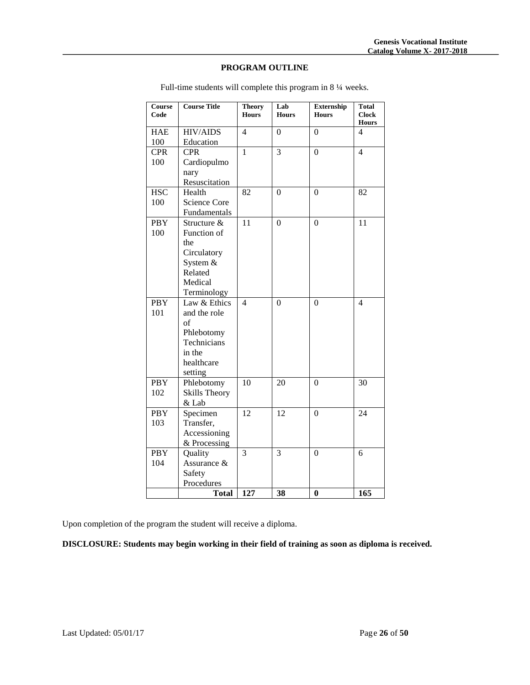# **PROGRAM OUTLINE**

| Course<br>Code    | <b>Course Title</b>                                                                                | <b>Theory</b><br><b>Hours</b> | Lab<br><b>Hours</b> | <b>Externship</b><br><b>Hours</b> | <b>Total</b><br><b>Clock</b><br><b>Hours</b> |
|-------------------|----------------------------------------------------------------------------------------------------|-------------------------------|---------------------|-----------------------------------|----------------------------------------------|
| <b>HAE</b><br>100 | <b>HIV/AIDS</b><br>Education                                                                       | 4                             | $\theta$            | $\Omega$                          | 4                                            |
| <b>CPR</b><br>100 | <b>CPR</b><br>Cardiopulmo<br>nary<br>Resuscitation                                                 | 1                             | $\overline{3}$      | $\overline{0}$                    | $\overline{4}$                               |
| <b>HSC</b><br>100 | Health<br><b>Science Core</b><br>Fundamentals                                                      | 82                            | $\theta$            | $\Omega$                          | 82                                           |
| <b>PBY</b><br>100 | Structure &<br>Function of<br>the<br>Circulatory<br>System &<br>Related<br>Medical<br>Terminology  | 11                            | $\theta$            | $\theta$                          | 11                                           |
| <b>PBY</b><br>101 | Law & Ethics<br>and the role<br>of<br>Phlebotomy<br>Technicians<br>in the<br>healthcare<br>setting | $\overline{4}$                | $\theta$            | $\boldsymbol{0}$                  | 4                                            |
| <b>PBY</b><br>102 | Phlebotomy<br><b>Skills Theory</b><br>& Lab                                                        | 10                            | 20                  | $\boldsymbol{0}$                  | 30                                           |
| <b>PBY</b><br>103 | Specimen<br>Transfer,<br>Accessioning<br>& Processing                                              | 12                            | 12                  | $\overline{0}$                    | 24                                           |
| <b>PBY</b><br>104 | Quality<br>Assurance &<br>Safety<br>Procedures                                                     | 3                             | 3                   | $\Omega$                          | 6                                            |
|                   | <b>Total</b>                                                                                       | 127                           | 38                  | $\bf{0}$                          | 165                                          |

Full-time students will complete this program in 8 ¼ weeks.

Upon completion of the program the student will receive a diploma.

**DISCLOSURE: Students may begin working in their field of training as soon as diploma is received.**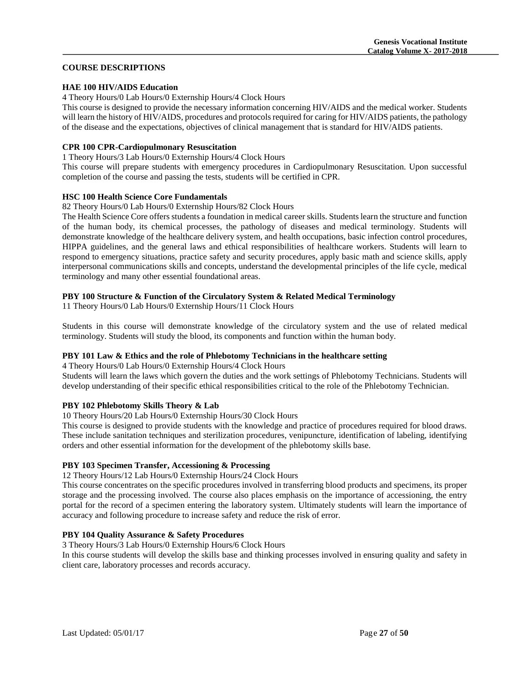# **COURSE DESCRIPTIONS**

# **HAE 100 HIV/AIDS Education**

4 Theory Hours/0 Lab Hours/0 Externship Hours/4 Clock Hours

This course is designed to provide the necessary information concerning HIV/AIDS and the medical worker. Students will learn the history of HIV/AIDS, procedures and protocols required for caring for HIV/AIDS patients, the pathology of the disease and the expectations, objectives of clinical management that is standard for HIV/AIDS patients.

# **CPR 100 CPR-Cardiopulmonary Resuscitation**

1 Theory Hours/3 Lab Hours/0 Externship Hours/4 Clock Hours

This course will prepare students with emergency procedures in Cardiopulmonary Resuscitation. Upon successful completion of the course and passing the tests, students will be certified in CPR.

# **HSC 100 Health Science Core Fundamentals**

#### 82 Theory Hours/0 Lab Hours/0 Externship Hours/82 Clock Hours

The Health Science Core offers students a foundation in medical career skills. Students learn the structure and function of the human body, its chemical processes, the pathology of diseases and medical terminology. Students will demonstrate knowledge of the healthcare delivery system, and health occupations, basic infection control procedures, HIPPA guidelines, and the general laws and ethical responsibilities of healthcare workers. Students will learn to respond to emergency situations, practice safety and security procedures, apply basic math and science skills, apply interpersonal communications skills and concepts, understand the developmental principles of the life cycle, medical terminology and many other essential foundational areas.

# **PBY 100 Structure & Function of the Circulatory System & Related Medical Terminology**

11 Theory Hours/0 Lab Hours/0 Externship Hours/11 Clock Hours

Students in this course will demonstrate knowledge of the circulatory system and the use of related medical terminology. Students will study the blood, its components and function within the human body.

#### **PBY 101 Law & Ethics and the role of Phlebotomy Technicians in the healthcare setting**

4 Theory Hours/0 Lab Hours/0 Externship Hours/4 Clock Hours

Students will learn the laws which govern the duties and the work settings of Phlebotomy Technicians. Students will develop understanding of their specific ethical responsibilities critical to the role of the Phlebotomy Technician.

# **PBY 102 Phlebotomy Skills Theory & Lab**

10 Theory Hours/20 Lab Hours/0 Externship Hours/30 Clock Hours

This course is designed to provide students with the knowledge and practice of procedures required for blood draws. These include sanitation techniques and sterilization procedures, venipuncture, identification of labeling, identifying orders and other essential information for the development of the phlebotomy skills base.

# **PBY 103 Specimen Transfer, Accessioning & Processing**

12 Theory Hours/12 Lab Hours/0 Externship Hours/24 Clock Hours

This course concentrates on the specific procedures involved in transferring blood products and specimens, its proper storage and the processing involved. The course also places emphasis on the importance of accessioning, the entry portal for the record of a specimen entering the laboratory system. Ultimately students will learn the importance of accuracy and following procedure to increase safety and reduce the risk of error.

# **PBY 104 Quality Assurance & Safety Procedures**

3 Theory Hours/3 Lab Hours/0 Externship Hours/6 Clock Hours

In this course students will develop the skills base and thinking processes involved in ensuring quality and safety in client care, laboratory processes and records accuracy.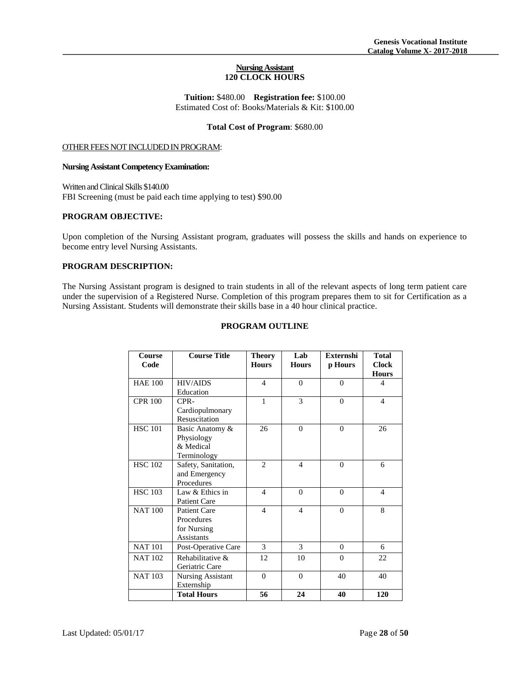# **Nursing Assistant 120 CLOCK HOURS**

**Tuition:** \$480.00 **Registration fee:** \$100.00 Estimated Cost of: Books/Materials & Kit: \$100.00

#### **Total Cost of Program**: \$680.00

# OTHER FEES NOT INCLUDED IN PROGRAM:

#### **Nursing Assistant Competency Examination:**

Written and Clinical Skills \$140.00 FBI Screening (must be paid each time applying to test) \$90.00

# **PROGRAM OBJECTIVE:**

Upon completion of the Nursing Assistant program, graduates will possess the skills and hands on experience to become entry level Nursing Assistants.

# **PROGRAM DESCRIPTION:**

The Nursing Assistant program is designed to train students in all of the relevant aspects of long term patient care under the supervision of a Registered Nurse. Completion of this program prepares them to sit for Certification as a Nursing Assistant. Students will demonstrate their skills base in a 40 hour clinical practice.

# **PROGRAM OUTLINE**

| Course<br>Code | <b>Course Title</b>                                            | <b>Theory</b><br><b>Hours</b> | Lab<br><b>Hours</b> | <b>Externshi</b><br>p Hours | <b>Total</b><br><b>Clock</b><br><b>Hours</b> |
|----------------|----------------------------------------------------------------|-------------------------------|---------------------|-----------------------------|----------------------------------------------|
| <b>HAE 100</b> | <b>HIV/AIDS</b><br>Education                                   | $\overline{4}$                | $\Omega$            | $\Omega$                    | $\overline{4}$                               |
| <b>CPR 100</b> | CPR-<br>Cardiopulmonary<br>Resuscitation                       | 1                             | 3                   | $\Omega$                    | 4                                            |
| <b>HSC 101</b> | Basic Anatomy &<br>Physiology<br>& Medical<br>Terminology      | 26                            | $\Omega$            | $\Omega$                    | 26                                           |
| <b>HSC 102</b> | Safety, Sanitation,<br>and Emergency<br>Procedures             | $\mathcal{D}_{\mathcal{L}}$   | $\overline{4}$      | $\Omega$                    | 6                                            |
| <b>HSC 103</b> | Law & Ethics in<br>Patient Care                                | $\overline{\mathcal{L}}$      | $\theta$            | $\Omega$                    | $\overline{4}$                               |
| <b>NAT100</b>  | <b>Patient Care</b><br>Procedures<br>for Nursing<br>Assistants | $\overline{4}$                | $\overline{4}$      | $\Omega$                    | 8                                            |
| <b>NAT101</b>  | Post-Operative Care                                            | 3                             | 3                   | $\mathbf{0}$                | 6                                            |
| <b>NAT 102</b> | Rehabilitative &<br>Geriatric Care                             | 12                            | 10                  | $\Omega$                    | 22                                           |
| <b>NAT 103</b> | <b>Nursing Assistant</b><br>Externship                         | $\overline{0}$                | $\Omega$            | 40                          | 40                                           |
|                | <b>Total Hours</b>                                             | 56                            | 24                  | 40                          | 120                                          |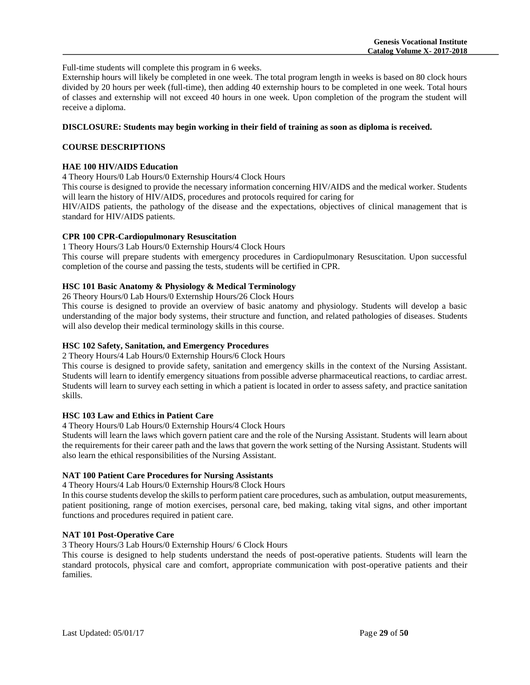Full-time students will complete this program in 6 weeks.

Externship hours will likely be completed in one week. The total program length in weeks is based on 80 clock hours divided by 20 hours per week (full-time), then adding 40 externship hours to be completed in one week. Total hours of classes and externship will not exceed 40 hours in one week. Upon completion of the program the student will receive a diploma.

#### **DISCLOSURE: Students may begin working in their field of training as soon as diploma is received.**

# **COURSE DESCRIPTIONS**

# **HAE 100 HIV/AIDS Education**

4 Theory Hours/0 Lab Hours/0 Externship Hours/4 Clock Hours

This course is designed to provide the necessary information concerning HIV/AIDS and the medical worker. Students will learn the history of HIV/AIDS, procedures and protocols required for caring for

HIV/AIDS patients, the pathology of the disease and the expectations, objectives of clinical management that is standard for HIV/AIDS patients.

# **CPR 100 CPR-Cardiopulmonary Resuscitation**

1 Theory Hours/3 Lab Hours/0 Externship Hours/4 Clock Hours

This course will prepare students with emergency procedures in Cardiopulmonary Resuscitation. Upon successful completion of the course and passing the tests, students will be certified in CPR.

# **HSC 101 Basic Anatomy & Physiology & Medical Terminology**

26 Theory Hours/0 Lab Hours/0 Externship Hours/26 Clock Hours

This course is designed to provide an overview of basic anatomy and physiology. Students will develop a basic understanding of the major body systems, their structure and function, and related pathologies of diseases. Students will also develop their medical terminology skills in this course.

#### **HSC 102 Safety, Sanitation, and Emergency Procedures**

2 Theory Hours/4 Lab Hours/0 Externship Hours/6 Clock Hours

This course is designed to provide safety, sanitation and emergency skills in the context of the Nursing Assistant. Students will learn to identify emergency situations from possible adverse pharmaceutical reactions, to cardiac arrest. Students will learn to survey each setting in which a patient is located in order to assess safety, and practice sanitation skills.

#### **HSC 103 Law and Ethics in Patient Care**

4 Theory Hours/0 Lab Hours/0 Externship Hours/4 Clock Hours

Students will learn the laws which govern patient care and the role of the Nursing Assistant. Students will learn about the requirements for their career path and the laws that govern the work setting of the Nursing Assistant. Students will also learn the ethical responsibilities of the Nursing Assistant.

# **NAT 100 Patient Care Procedures for Nursing Assistants**

4 Theory Hours/4 Lab Hours/0 Externship Hours/8 Clock Hours

In this course students develop the skills to perform patient care procedures, such as ambulation, output measurements, patient positioning, range of motion exercises, personal care, bed making, taking vital signs, and other important functions and procedures required in patient care.

# **NAT 101 Post-Operative Care**

3 Theory Hours/3 Lab Hours/0 Externship Hours/ 6 Clock Hours

This course is designed to help students understand the needs of post-operative patients. Students will learn the standard protocols, physical care and comfort, appropriate communication with post-operative patients and their families.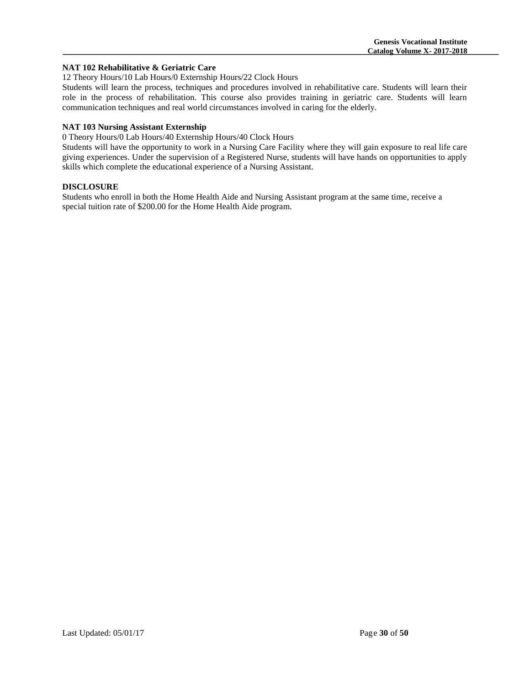#### **NAT 102 Rehabilitative & Geriatric Care**

12 Theory Hours/10 Lab Hours/0 Externship Hours/22 Clock Hours

Students will learn the process, techniques and procedures involved in rehabilitative care. Students will learn their role in the process of rehabilitation. This course also provides training in geriatric care. Students will learn communication techniques and real world circumstances involved in caring for the elderly.

# **NAT 103 Nursing Assistant Externship**

0 Theory Hours/0 Lab Hours/40 Externship Hours/40 Clock Hours

Students will have the opportunity to work in a Nursing Care Facility where they will gain exposure to real life care giving experiences. Under the supervision of a Registered Nurse, students will have hands on opportunities to apply skills which complete the educational experience of a Nursing Assistant.

# **DISCLOSURE**

Students who enroll in both the Home Health Aide and Nursing Assistant program at the same time, receive a special tuition rate of \$200.00 for the Home Health Aide program.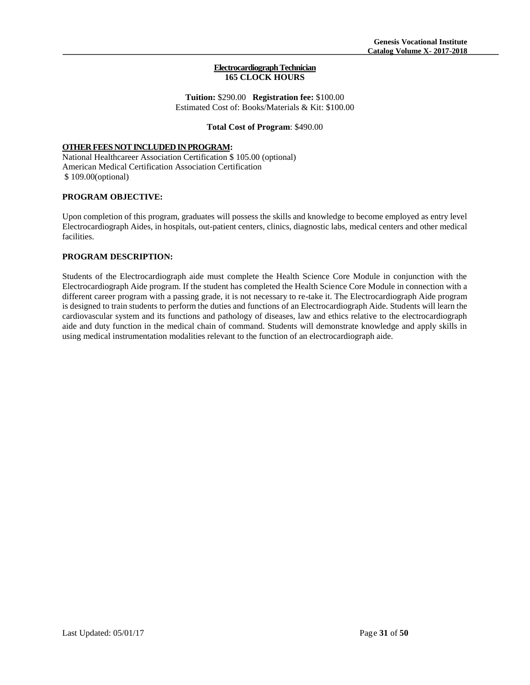#### **Electrocardiograph Technician 165 CLOCK HOURS**

**Tuition:** \$290.00 **Registration fee:** \$100.00 Estimated Cost of: Books/Materials & Kit: \$100.00

#### **Total Cost of Program**: \$490.00

# **OTHER FEES NOT INCLUDED IN PROGRAM:**

National Healthcareer Association Certification \$ 105.00 (optional) American Medical Certification Association Certification \$ 109.00(optional)

# **PROGRAM OBJECTIVE:**

Upon completion of this program, graduates will possess the skills and knowledge to become employed as entry level Electrocardiograph Aides, in hospitals, out-patient centers, clinics, diagnostic labs, medical centers and other medical facilities.

# **PROGRAM DESCRIPTION:**

Students of the Electrocardiograph aide must complete the Health Science Core Module in conjunction with the Electrocardiograph Aide program. If the student has completed the Health Science Core Module in connection with a different career program with a passing grade, it is not necessary to re-take it. The Electrocardiograph Aide program is designed to train students to perform the duties and functions of an Electrocardiograph Aide. Students will learn the cardiovascular system and its functions and pathology of diseases, law and ethics relative to the electrocardiograph aide and duty function in the medical chain of command. Students will demonstrate knowledge and apply skills in using medical instrumentation modalities relevant to the function of an electrocardiograph aide.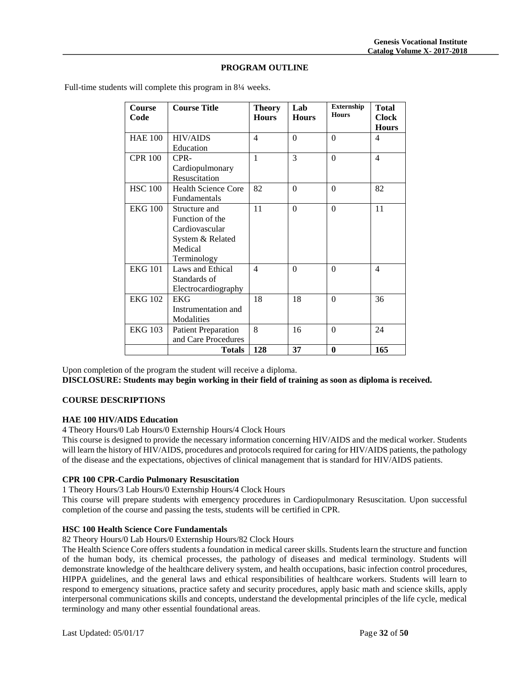# **PROGRAM OUTLINE**

| <b>Course</b><br>Code | <b>Course Title</b>                                                                              | <b>Theory</b><br><b>Hours</b> | Lab<br><b>Hours</b> | <b>Externship</b><br><b>Hours</b> | <b>Total</b><br><b>Clock</b><br><b>Hours</b> |
|-----------------------|--------------------------------------------------------------------------------------------------|-------------------------------|---------------------|-----------------------------------|----------------------------------------------|
| <b>HAE 100</b>        | <b>HIV/AIDS</b><br>Education                                                                     | $\overline{\mathcal{A}}$      | $\Omega$            | $\theta$                          | 4                                            |
| <b>CPR 100</b>        | CPR-<br>Cardiopulmonary<br>Resuscitation                                                         | $\mathbf{1}$                  | $\mathcal{E}$       | $\theta$                          | $\overline{\mathcal{L}}$                     |
| <b>HSC 100</b>        | <b>Health Science Core</b><br>Fundamentals                                                       | 82                            | $\Omega$            | $\Omega$                          | 82                                           |
| <b>EKG 100</b>        | Structure and<br>Function of the<br>Cardiovascular<br>System & Related<br>Medical<br>Terminology | 11                            | $\Omega$            | $\theta$                          | 11                                           |
| <b>EKG 101</b>        | Laws and Ethical<br>Standards of<br>Electrocardiography                                          | 4                             | $\theta$            | $\theta$                          | 4                                            |
| <b>EKG 102</b>        | <b>EKG</b><br>Instrumentation and<br>Modalities                                                  | 18                            | 18                  | $\theta$                          | 36                                           |
| <b>EKG 103</b>        | <b>Patient Preparation</b><br>and Care Procedures                                                | 8                             | 16                  | $\theta$                          | 24                                           |
|                       | <b>Totals</b>                                                                                    | 128                           | 37                  | $\mathbf{0}$                      | 165                                          |

Full-time students will complete this program in 8¼ weeks.

Upon completion of the program the student will receive a diploma.

**DISCLOSURE: Students may begin working in their field of training as soon as diploma is received.**

# **COURSE DESCRIPTIONS**

#### **HAE 100 HIV/AIDS Education**

4 Theory Hours/0 Lab Hours/0 Externship Hours/4 Clock Hours

This course is designed to provide the necessary information concerning HIV/AIDS and the medical worker. Students will learn the history of HIV/AIDS, procedures and protocols required for caring for HIV/AIDS patients, the pathology of the disease and the expectations, objectives of clinical management that is standard for HIV/AIDS patients.

# **CPR 100 CPR-Cardio Pulmonary Resuscitation**

1 Theory Hours/3 Lab Hours/0 Externship Hours/4 Clock Hours

This course will prepare students with emergency procedures in Cardiopulmonary Resuscitation. Upon successful completion of the course and passing the tests, students will be certified in CPR.

# **HSC 100 Health Science Core Fundamentals**

82 Theory Hours/0 Lab Hours/0 Externship Hours/82 Clock Hours

The Health Science Core offers students a foundation in medical career skills. Students learn the structure and function of the human body, its chemical processes, the pathology of diseases and medical terminology. Students will demonstrate knowledge of the healthcare delivery system, and health occupations, basic infection control procedures, HIPPA guidelines, and the general laws and ethical responsibilities of healthcare workers. Students will learn to respond to emergency situations, practice safety and security procedures, apply basic math and science skills, apply interpersonal communications skills and concepts, understand the developmental principles of the life cycle, medical terminology and many other essential foundational areas.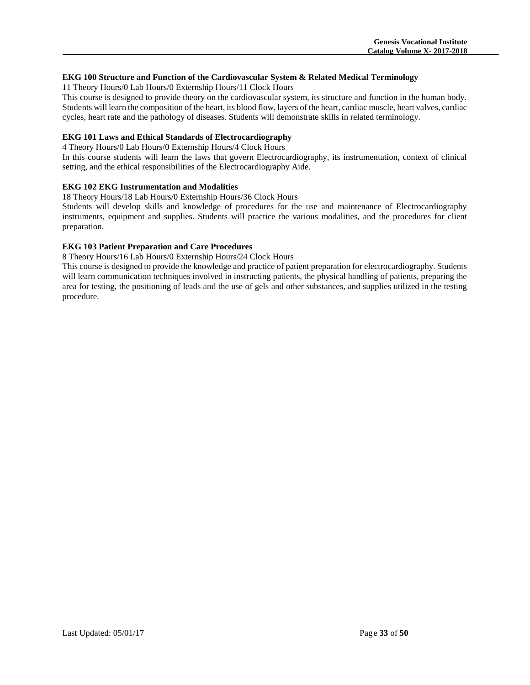# **EKG 100 Structure and Function of the Cardiovascular System & Related Medical Terminology**

11 Theory Hours/0 Lab Hours/0 Externship Hours/11 Clock Hours

This course is designed to provide theory on the cardiovascular system, its structure and function in the human body. Students will learn the composition of the heart, its blood flow, layers of the heart, cardiac muscle, heart valves, cardiac cycles, heart rate and the pathology of diseases. Students will demonstrate skills in related terminology.

# **EKG 101 Laws and Ethical Standards of Electrocardiography**

4 Theory Hours/0 Lab Hours/0 Externship Hours/4 Clock Hours

In this course students will learn the laws that govern Electrocardiography, its instrumentation, context of clinical setting, and the ethical responsibilities of the Electrocardiography Aide.

# **EKG 102 EKG Instrumentation and Modalities**

18 Theory Hours/18 Lab Hours/0 Externship Hours/36 Clock Hours

Students will develop skills and knowledge of procedures for the use and maintenance of Electrocardiography instruments, equipment and supplies. Students will practice the various modalities, and the procedures for client preparation.

# **EKG 103 Patient Preparation and Care Procedures**

8 Theory Hours/16 Lab Hours/0 Externship Hours/24 Clock Hours

This course is designed to provide the knowledge and practice of patient preparation for electrocardiography. Students will learn communication techniques involved in instructing patients, the physical handling of patients, preparing the area for testing, the positioning of leads and the use of gels and other substances, and supplies utilized in the testing procedure.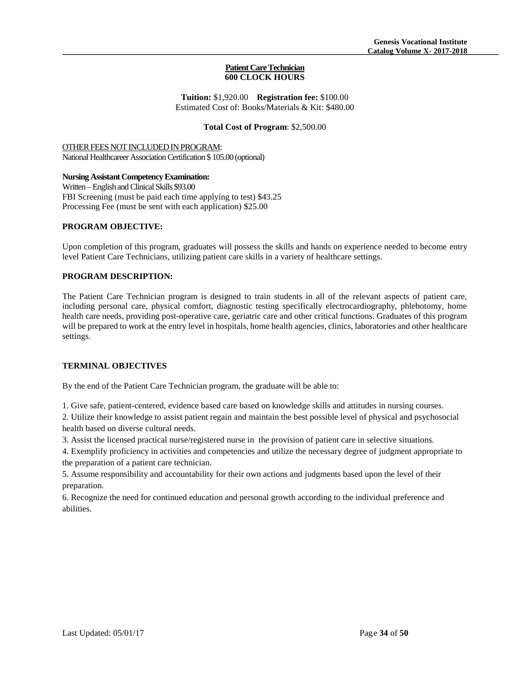#### **Patient Care Technician 600 CLOCK HOURS**

**Tuition:** \$1,920.00 **Registration fee:** \$100.00 Estimated Cost of: Books/Materials & Kit: \$480.00

#### **Total Cost of Program**: \$2,500.00

# OTHER FEES NOT INCLUDED IN PROGRAM:

National Healthcareer Association Certification \$ 105.00 (optional)

# **Nursing Assistant Competency Examination:**

Written –English and Clinical Skills \$93.00 FBI Screening (must be paid each time applying to test) \$43.25 Processing Fee (must be sent with each application) \$25.00

# **PROGRAM OBJECTIVE:**

Upon completion of this program, graduates will possess the skills and hands on experience needed to become entry level Patient Care Technicians, utilizing patient care skills in a variety of healthcare settings.

# **PROGRAM DESCRIPTION:**

The Patient Care Technician program is designed to train students in all of the relevant aspects of patient care, including personal care, physical comfort, diagnostic testing specifically electrocardiography, phlebotomy, home health care needs, providing post-operative care, geriatric care and other critical functions. Graduates of this program will be prepared to work at the entry level in hospitals, home health agencies, clinics, laboratories and other healthcare settings.

# **TERMINAL OBJECTIVES**

By the end of the Patient Care Technician program, the graduate will be able to:

1. Give safe, patient-centered, evidence based care based on knowledge skills and attitudes in nursing courses.

2. Utilize their knowledge to assist patient regain and maintain the best possible level of physical and psychosocial health based on diverse cultural needs.

3. Assist the licensed practical nurse/registered nurse in the provision of patient care in selective situations.

4. Exemplify proficiency in activities and competencies and utilize the necessary degree of judgment appropriate to the preparation of a patient care technician.

5. Assume responsibility and accountability for their own actions and judgments based upon the level of their preparation.

6. Recognize the need for continued education and personal growth according to the individual preference and abilities.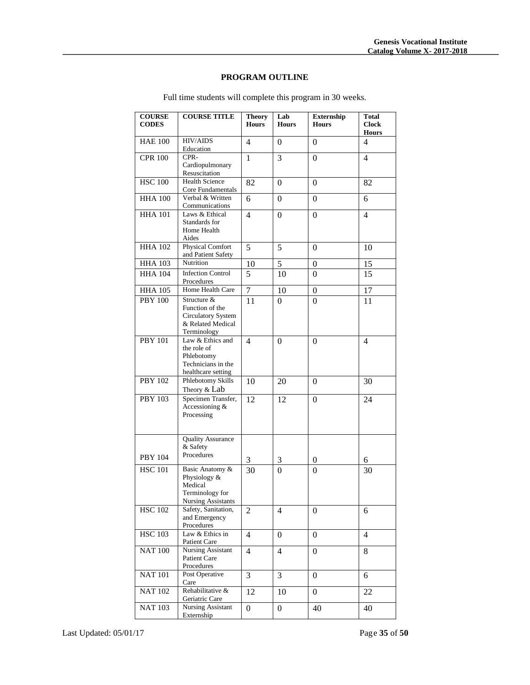# **PROGRAM OUTLINE**

| <b>COURSE</b><br><b>CODES</b> | <b>COURSE TITLE</b>                                                                        | <b>Theory</b><br><b>Hours</b> | Lab<br><b>Hours</b> | <b>Externship</b><br><b>Hours</b> | <b>Total</b><br><b>Clock</b><br><b>Hours</b> |
|-------------------------------|--------------------------------------------------------------------------------------------|-------------------------------|---------------------|-----------------------------------|----------------------------------------------|
| <b>HAE 100</b>                | <b>HIV/AIDS</b><br>Education                                                               | 4                             | 0                   | 0                                 | 4                                            |
| <b>CPR 100</b>                | CPR-<br>Cardiopulmonary<br>Resuscitation                                                   | 1                             | 3                   | $\theta$                          | 4                                            |
| <b>HSC 100</b>                | <b>Health Science</b><br>Core Fundamentals                                                 | 82                            | 0                   | 0                                 | 82                                           |
| <b>HHA 100</b>                | Verbal & Written<br>Communications                                                         | 6                             | 0                   | 0                                 | 6                                            |
| <b>HHA 101</b>                | Laws & Ethical<br>Standards for<br>Home Health<br>Aides                                    | $\overline{4}$                | $\Omega$            | 0                                 | 4                                            |
| <b>HHA 102</b>                | <b>Physical Comfort</b><br>and Patient Safety                                              | 5                             | 5                   | 0                                 | 10                                           |
| <b>HHA 103</b>                | Nutrition                                                                                  | 10                            | 5                   | 0                                 | 15                                           |
| <b>HHA 104</b>                | <b>Infection Control</b><br>Procedures                                                     | 5                             | 10                  | 0                                 | 15                                           |
| <b>HHA 105</b>                | Home Health Care                                                                           | $\overline{7}$                | 10                  | $\boldsymbol{0}$                  | 17                                           |
| <b>PBY 100</b>                | Structure &<br>Function of the<br>Circulatory System<br>& Related Medical<br>Terminology   | 11                            | 0                   | 0                                 | 11                                           |
| <b>PBY 101</b>                | Law & Ethics and<br>the role of<br>Phlebotomy<br>Technicians in the<br>healthcare setting  | 4                             | $\boldsymbol{0}$    | $\overline{0}$                    | 4                                            |
| <b>PBY 102</b>                | Phlebotomy Skills<br>Theory & Lab                                                          | 10                            | 20                  | 0                                 | 30                                           |
| <b>PBY 103</b>                | Specimen Transfer,<br>Accessioning &<br>Processing                                         | 12                            | 12                  | $\Omega$                          | 24                                           |
| <b>PBY 104</b>                | <b>Quality Assurance</b><br>& Safety<br>Procedures                                         | 3                             | 3                   | 0                                 | 6                                            |
| <b>HSC 101</b>                | Basic Anatomy &<br>Physiology &<br>Medical<br>Terminology for<br><b>Nursing Assistants</b> | 30                            | $\theta$            | $\overline{0}$                    | 30                                           |
| <b>HSC 102</b>                | Safety, Sanitation,<br>and Emergency<br>Procedures                                         | 2                             | 4                   | 0                                 | 6                                            |
| <b>HSC 103</b>                | Law & Ethics in<br>Patient Care                                                            | $\overline{4}$                | $\overline{0}$      | $\overline{0}$                    | 4                                            |
| <b>NAT 100</b>                | Nursing Assistant<br>Patient Care<br>Procedures                                            | $\overline{4}$                | 4                   | 0                                 | 8                                            |
| <b>NAT 101</b>                | Post Operative<br>Care                                                                     | 3                             | 3                   | $\overline{0}$                    | 6                                            |
| <b>NAT 102</b>                | Rehabilitative &<br>Geriatric Care                                                         | 12                            | 10                  | $\boldsymbol{0}$                  | 22                                           |
| <b>NAT 103</b>                | <b>Nursing Assistant</b><br>Externship                                                     | $\overline{0}$                | $\overline{0}$      | 40                                | 40                                           |

Full time students will complete this program in 30 weeks.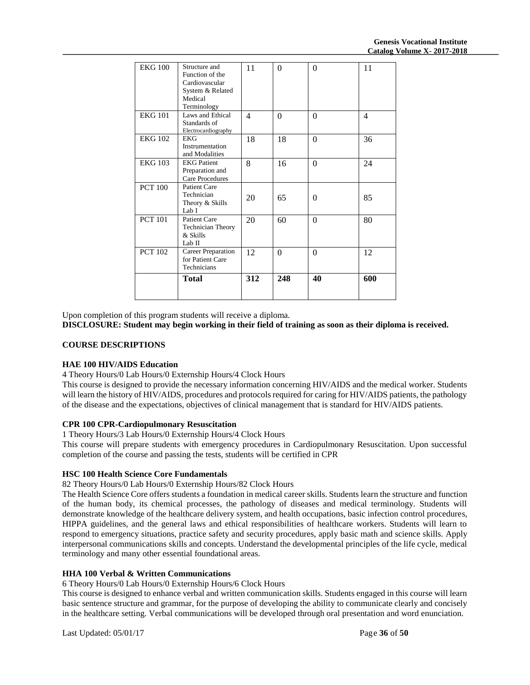|                | Total                                                                                            | 312 | 248      | 40       | 600 |
|----------------|--------------------------------------------------------------------------------------------------|-----|----------|----------|-----|
| <b>PCT 102</b> | <b>Career Preparation</b><br>for Patient Care<br>Technicians                                     | 12  | $\Omega$ | $\Omega$ | 12  |
| <b>PCT 101</b> | <b>Patient Care</b><br><b>Technician Theory</b><br>& Skills<br>Lab II                            | 20  | 60       | $\Omega$ | 80  |
| <b>PCT 100</b> | Patient Care<br>Technician<br>Theory & Skills<br>Lab I                                           | 20  | 65       | $\Omega$ | 85  |
| <b>EKG 103</b> | <b>EKG</b> Patient<br>Preparation and<br><b>Care Procedures</b>                                  | 8   | 16       | $\theta$ | 24  |
| <b>EKG 102</b> | <b>EKG</b><br>Instrumentation<br>and Modalities                                                  | 18  | 18       | $\theta$ | 36  |
| <b>EKG 101</b> | Laws and Ethical<br>Standards of<br>Electrocardiography                                          | 4   | $\Omega$ | $\Omega$ | 4   |
| <b>EKG 100</b> | Structure and<br>Function of the<br>Cardiovascular<br>System & Related<br>Medical<br>Terminology | 11  | $\Omega$ | $\Omega$ | 11  |

Upon completion of this program students will receive a diploma.

**DISCLOSURE: Student may begin working in their field of training as soon as their diploma is received.**

# **COURSE DESCRIPTIONS**

#### **HAE 100 HIV/AIDS Education**

4 Theory Hours/0 Lab Hours/0 Externship Hours/4 Clock Hours

This course is designed to provide the necessary information concerning HIV/AIDS and the medical worker. Students will learn the history of HIV/AIDS, procedures and protocols required for caring for HIV/AIDS patients, the pathology of the disease and the expectations, objectives of clinical management that is standard for HIV/AIDS patients.

# **CPR 100 CPR-Cardiopulmonary Resuscitation**

1 Theory Hours/3 Lab Hours/0 Externship Hours/4 Clock Hours

This course will prepare students with emergency procedures in Cardiopulmonary Resuscitation. Upon successful completion of the course and passing the tests, students will be certified in CPR

# **HSC 100 Health Science Core Fundamentals**

82 Theory Hours/0 Lab Hours/0 Externship Hours/82 Clock Hours

The Health Science Core offers students a foundation in medical career skills. Students learn the structure and function of the human body, its chemical processes, the pathology of diseases and medical terminology. Students will demonstrate knowledge of the healthcare delivery system, and health occupations, basic infection control procedures, HIPPA guidelines, and the general laws and ethical responsibilities of healthcare workers. Students will learn to respond to emergency situations, practice safety and security procedures, apply basic math and science skills. Apply interpersonal communications skills and concepts. Understand the developmental principles of the life cycle, medical terminology and many other essential foundational areas.

#### **HHA 100 Verbal & Written Communications**

6 Theory Hours/0 Lab Hours/0 Externship Hours/6 Clock Hours

This course is designed to enhance verbal and written communication skills. Students engaged in this course will learn basic sentence structure and grammar, for the purpose of developing the ability to communicate clearly and concisely in the healthcare setting. Verbal communications will be developed through oral presentation and word enunciation.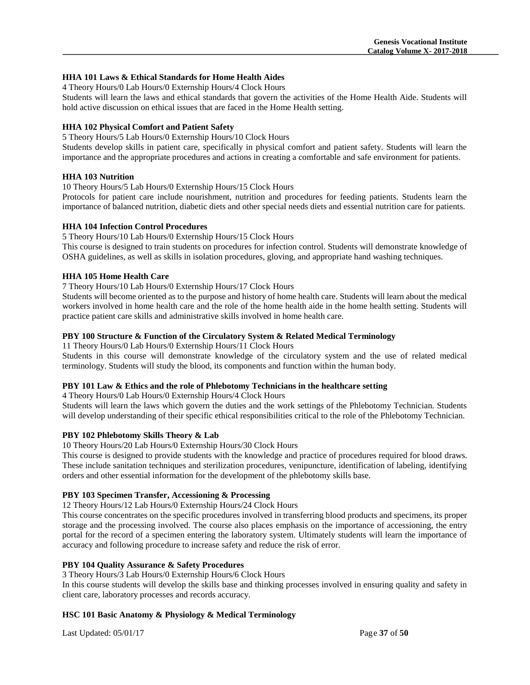# **HHA 101 Laws & Ethical Standards for Home Health Aides**

4 Theory Hours/0 Lab Hours/0 Externship Hours/4 Clock Hours

Students will learn the laws and ethical standards that govern the activities of the Home Health Aide. Students will hold active discussion on ethical issues that are faced in the Home Health setting.

# **HHA 102 Physical Comfort and Patient Safety**

5 Theory Hours/5 Lab Hours/0 Externship Hours/10 Clock Hours

Students develop skills in patient care, specifically in physical comfort and patient safety. Students will learn the importance and the appropriate procedures and actions in creating a comfortable and safe environment for patients.

# **HHA 103 Nutrition**

10 Theory Hours/5 Lab Hours/0 Externship Hours/15 Clock Hours

Protocols for patient care include nourishment, nutrition and procedures for feeding patients. Students learn the importance of balanced nutrition, diabetic diets and other special needs diets and essential nutrition care for patients.

#### **HHA 104 Infection Control Procedures**

#### 5 Theory Hours/10 Lab Hours/0 Externship Hours/15 Clock Hours

This course is designed to train students on procedures for infection control. Students will demonstrate knowledge of OSHA guidelines, as well as skills in isolation procedures, gloving, and appropriate hand washing techniques.

# **HHA 105 Home Health Care**

#### 7 Theory Hours/10 Lab Hours/0 Externship Hours/17 Clock Hours

Students will become oriented as to the purpose and history of home health care. Students will learn about the medical workers involved in home health care and the role of the home health aide in the home health setting. Students will practice patient care skills and administrative skills involved in home health care.

# **PBY 100 Structure & Function of the Circulatory System & Related Medical Terminology**

11 Theory Hours/0 Lab Hours/0 Externship Hours/11 Clock Hours

Students in this course will demonstrate knowledge of the circulatory system and the use of related medical terminology. Students will study the blood, its components and function within the human body.

# **PBY 101 Law & Ethics and the role of Phlebotomy Technicians in the healthcare setting**

4 Theory Hours/0 Lab Hours/0 Externship Hours/4 Clock Hours

Students will learn the laws which govern the duties and the work settings of the Phlebotomy Technician. Students will develop understanding of their specific ethical responsibilities critical to the role of the Phlebotomy Technician.

#### **PBY 102 Phlebotomy Skills Theory & Lab**

10 Theory Hours/20 Lab Hours/0 Externship Hours/30 Clock Hours

This course is designed to provide students with the knowledge and practice of procedures required for blood draws. These include sanitation techniques and sterilization procedures, venipuncture, identification of labeling, identifying orders and other essential information for the development of the phlebotomy skills base.

#### **PBY 103 Specimen Transfer, Accessioning & Processing**

12 Theory Hours/12 Lab Hours/0 Externship Hours/24 Clock Hours

This course concentrates on the specific procedures involved in transferring blood products and specimens, its proper storage and the processing involved. The course also places emphasis on the importance of accessioning, the entry portal for the record of a specimen entering the laboratory system. Ultimately students will learn the importance of accuracy and following procedure to increase safety and reduce the risk of error.

#### **PBY 104 Quality Assurance & Safety Procedures**

3 Theory Hours/3 Lab Hours/0 Externship Hours/6 Clock Hours

In this course students will develop the skills base and thinking processes involved in ensuring quality and safety in client care, laboratory processes and records accuracy.

# **HSC 101 Basic Anatomy & Physiology & Medical Terminology**

Last Updated: 05/01/17 Page **37** of **50**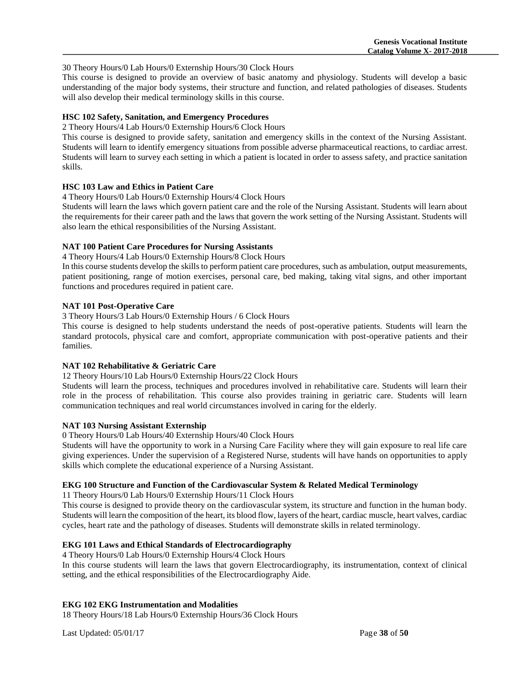#### 30 Theory Hours/0 Lab Hours/0 Externship Hours/30 Clock Hours

This course is designed to provide an overview of basic anatomy and physiology. Students will develop a basic understanding of the major body systems, their structure and function, and related pathologies of diseases. Students will also develop their medical terminology skills in this course.

# **HSC 102 Safety, Sanitation, and Emergency Procedures**

2 Theory Hours/4 Lab Hours/0 Externship Hours/6 Clock Hours

This course is designed to provide safety, sanitation and emergency skills in the context of the Nursing Assistant. Students will learn to identify emergency situations from possible adverse pharmaceutical reactions, to cardiac arrest. Students will learn to survey each setting in which a patient is located in order to assess safety, and practice sanitation skills.

# **HSC 103 Law and Ethics in Patient Care**

4 Theory Hours/0 Lab Hours/0 Externship Hours/4 Clock Hours

Students will learn the laws which govern patient care and the role of the Nursing Assistant. Students will learn about the requirements for their career path and the laws that govern the work setting of the Nursing Assistant. Students will also learn the ethical responsibilities of the Nursing Assistant.

# **NAT 100 Patient Care Procedures for Nursing Assistants**

4 Theory Hours/4 Lab Hours/0 Externship Hours/8 Clock Hours

In this course students develop the skills to perform patient care procedures, such as ambulation, output measurements, patient positioning, range of motion exercises, personal care, bed making, taking vital signs, and other important functions and procedures required in patient care.

# **NAT 101 Post-Operative Care**

3 Theory Hours/3 Lab Hours/0 Externship Hours / 6 Clock Hours

This course is designed to help students understand the needs of post-operative patients. Students will learn the standard protocols, physical care and comfort, appropriate communication with post-operative patients and their families.

# **NAT 102 Rehabilitative & Geriatric Care**

12 Theory Hours/10 Lab Hours/0 Externship Hours/22 Clock Hours

Students will learn the process, techniques and procedures involved in rehabilitative care. Students will learn their role in the process of rehabilitation. This course also provides training in geriatric care. Students will learn communication techniques and real world circumstances involved in caring for the elderly.

# **NAT 103 Nursing Assistant Externship**

0 Theory Hours/0 Lab Hours/40 Externship Hours/40 Clock Hours

Students will have the opportunity to work in a Nursing Care Facility where they will gain exposure to real life care giving experiences. Under the supervision of a Registered Nurse, students will have hands on opportunities to apply skills which complete the educational experience of a Nursing Assistant.

# **EKG 100 Structure and Function of the Cardiovascular System & Related Medical Terminology**

11 Theory Hours/0 Lab Hours/0 Externship Hours/11 Clock Hours

This course is designed to provide theory on the cardiovascular system, its structure and function in the human body. Students will learn the composition of the heart, its blood flow, layers of the heart, cardiac muscle, heart valves, cardiac cycles, heart rate and the pathology of diseases. Students will demonstrate skills in related terminology.

# **EKG 101 Laws and Ethical Standards of Electrocardiography**

4 Theory Hours/0 Lab Hours/0 Externship Hours/4 Clock Hours In this course students will learn the laws that govern Electrocardiography, its instrumentation, context of clinical setting, and the ethical responsibilities of the Electrocardiography Aide.

# **EKG 102 EKG Instrumentation and Modalities**

18 Theory Hours/18 Lab Hours/0 Externship Hours/36 Clock Hours

Last Updated: 05/01/17 Page **38** of **50**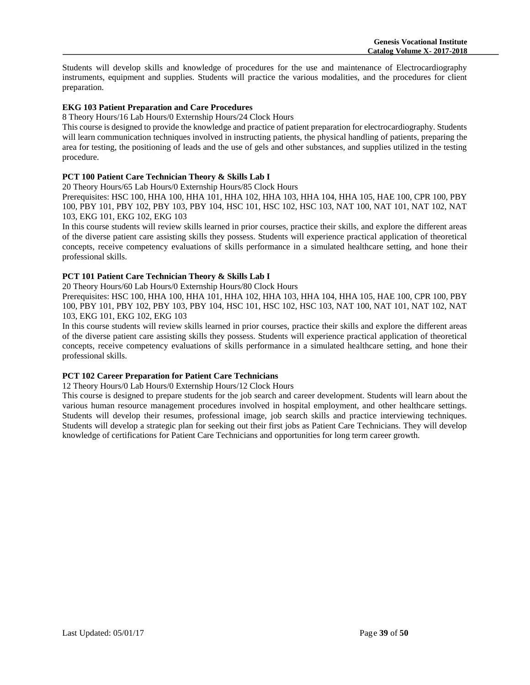Students will develop skills and knowledge of procedures for the use and maintenance of Electrocardiography instruments, equipment and supplies. Students will practice the various modalities, and the procedures for client preparation.

# **EKG 103 Patient Preparation and Care Procedures**

# 8 Theory Hours/16 Lab Hours/0 Externship Hours/24 Clock Hours

This course is designed to provide the knowledge and practice of patient preparation for electrocardiography. Students will learn communication techniques involved in instructing patients, the physical handling of patients, preparing the area for testing, the positioning of leads and the use of gels and other substances, and supplies utilized in the testing procedure.

# **PCT 100 Patient Care Technician Theory & Skills Lab I**

20 Theory Hours/65 Lab Hours/0 Externship Hours/85 Clock Hours

Prerequisites: HSC 100, HHA 100, HHA 101, HHA 102, HHA 103, HHA 104, HHA 105, HAE 100, CPR 100, PBY 100, PBY 101, PBY 102, PBY 103, PBY 104, HSC 101, HSC 102, HSC 103, NAT 100, NAT 101, NAT 102, NAT 103, EKG 101, EKG 102, EKG 103

In this course students will review skills learned in prior courses, practice their skills, and explore the different areas of the diverse patient care assisting skills they possess. Students will experience practical application of theoretical concepts, receive competency evaluations of skills performance in a simulated healthcare setting, and hone their professional skills.

# **PCT 101 Patient Care Technician Theory & Skills Lab I**

20 Theory Hours/60 Lab Hours/0 Externship Hours/80 Clock Hours

Prerequisites: HSC 100, HHA 100, HHA 101, HHA 102, HHA 103, HHA 104, HHA 105, HAE 100, CPR 100, PBY 100, PBY 101, PBY 102, PBY 103, PBY 104, HSC 101, HSC 102, HSC 103, NAT 100, NAT 101, NAT 102, NAT 103, EKG 101, EKG 102, EKG 103

In this course students will review skills learned in prior courses, practice their skills and explore the different areas of the diverse patient care assisting skills they possess. Students will experience practical application of theoretical concepts, receive competency evaluations of skills performance in a simulated healthcare setting, and hone their professional skills.

# **PCT 102 Career Preparation for Patient Care Technicians**

12 Theory Hours/0 Lab Hours/0 Externship Hours/12 Clock Hours

This course is designed to prepare students for the job search and career development. Students will learn about the various human resource management procedures involved in hospital employment, and other healthcare settings. Students will develop their resumes, professional image, job search skills and practice interviewing techniques. Students will develop a strategic plan for seeking out their first jobs as Patient Care Technicians. They will develop knowledge of certifications for Patient Care Technicians and opportunities for long term career growth.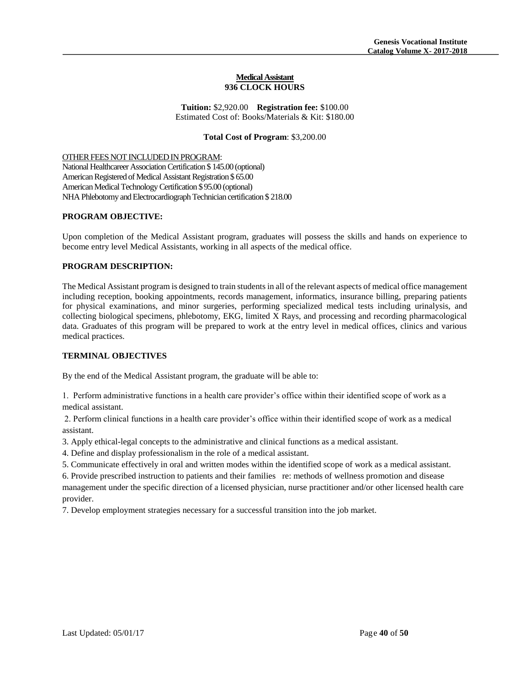#### **Medical Assistant 936 CLOCK HOURS**

**Tuition:** \$2,920.00 **Registration fee:** \$100.00 Estimated Cost of: Books/Materials & Kit: \$180.00

# **Total Cost of Program**: \$3,200.00

OTHER FEES NOT INCLUDED IN PROGRAM:

National Healthcareer Association Certification \$ 145.00 (optional) American Registered of Medical Assistant Registration \$ 65.00 American Medical Technology Certification \$ 95.00 (optional) NHA Phlebotomy and Electrocardiograph Technician certification \$ 218.00

# **PROGRAM OBJECTIVE:**

Upon completion of the Medical Assistant program, graduates will possess the skills and hands on experience to become entry level Medical Assistants, working in all aspects of the medical office.

# **PROGRAM DESCRIPTION:**

The Medical Assistant program is designed to train students in all of the relevant aspects of medical office management including reception, booking appointments, records management, informatics, insurance billing, preparing patients for physical examinations, and minor surgeries, performing specialized medical tests including urinalysis, and collecting biological specimens, phlebotomy, EKG, limited X Rays, and processing and recording pharmacological data. Graduates of this program will be prepared to work at the entry level in medical offices, clinics and various medical practices.

#### **TERMINAL OBJECTIVES**

By the end of the Medical Assistant program, the graduate will be able to:

1. Perform administrative functions in a health care provider's office within their identified scope of work as a medical assistant.

2. Perform clinical functions in a health care provider's office within their identified scope of work as a medical assistant.

3. Apply ethical-legal concepts to the administrative and clinical functions as a medical assistant.

4. Define and display professionalism in the role of a medical assistant.

5. Communicate effectively in oral and written modes within the identified scope of work as a medical assistant.

6. Provide prescribed instruction to patients and their families re: methods of wellness promotion and disease management under the specific direction of a licensed physician, nurse practitioner and/or other licensed health care provider.

7. Develop employment strategies necessary for a successful transition into the job market.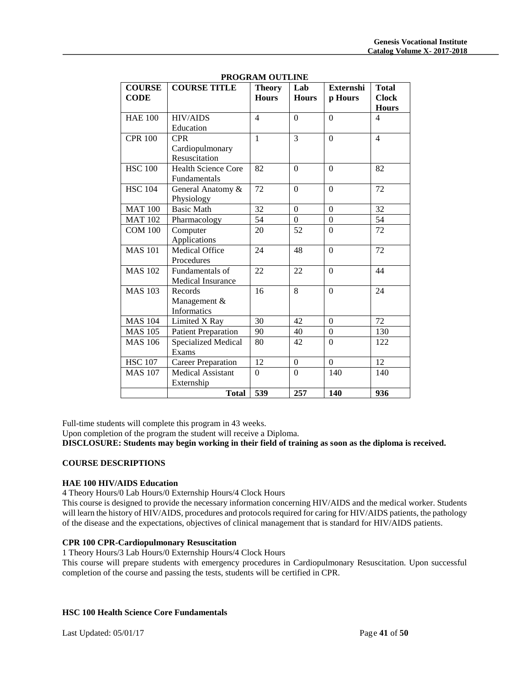|                              |                            | FRUGRAM UUTLINE               |                     |                             |                                              |
|------------------------------|----------------------------|-------------------------------|---------------------|-----------------------------|----------------------------------------------|
| <b>COURSE</b><br><b>CODE</b> | <b>COURSE TITLE</b>        | <b>Theory</b><br><b>Hours</b> | Lab<br><b>Hours</b> | <b>Externshi</b><br>p Hours | <b>Total</b><br><b>Clock</b><br><b>Hours</b> |
|                              |                            |                               |                     |                             |                                              |
| <b>HAE 100</b>               | <b>HIV/AIDS</b>            | $\overline{4}$                | $\Omega$            | $\theta$                    | 4                                            |
|                              | Education                  |                               |                     |                             |                                              |
| <b>CPR 100</b>               | <b>CPR</b>                 | $\mathbf{1}$                  | 3                   | $\theta$                    | $\overline{4}$                               |
|                              | Cardiopulmonary            |                               |                     |                             |                                              |
|                              | Resuscitation              |                               |                     |                             |                                              |
| <b>HSC 100</b>               | <b>Health Science Core</b> | 82                            | $\Omega$            | $\Omega$                    | 82                                           |
|                              | Fundamentals               |                               |                     |                             |                                              |
| <b>HSC 104</b>               | General Anatomy &          | 72                            | $\Omega$            | $\Omega$                    | 72                                           |
|                              | Physiology                 |                               |                     |                             |                                              |
| <b>MAT 100</b>               | <b>Basic Math</b>          | 32                            | $\Omega$            | $\mathbf{0}$                | 32                                           |
| <b>MAT 102</b>               | Pharmacology               | 54                            | $\overline{0}$      | $\mathbf{0}$                | 54                                           |
| <b>COM 100</b>               | Computer                   | 20                            | 52                  | $\boldsymbol{0}$            | 72                                           |
|                              | Applications               |                               |                     |                             |                                              |
| <b>MAS 101</b>               | <b>Medical Office</b>      | 24                            | 48                  | $\boldsymbol{0}$            | 72                                           |
|                              | Procedures                 |                               |                     |                             |                                              |
| <b>MAS 102</b>               | Fundamentals of            | 22                            | 22                  | $\Omega$                    | 44                                           |
|                              | Medical Insurance          |                               |                     |                             |                                              |
| <b>MAS 103</b>               | Records                    | 16                            | 8                   | $\theta$                    | 24                                           |
|                              | Management &               |                               |                     |                             |                                              |
|                              |                            |                               |                     |                             |                                              |
|                              | <b>Informatics</b>         |                               |                     |                             |                                              |
| <b>MAS 104</b>               | Limited X Ray              | 30                            | 42                  | $\mathbf{0}$                | 72                                           |
| <b>MAS 105</b>               | <b>Patient Preparation</b> | 90                            | 40                  | $\boldsymbol{0}$            | 130                                          |
| <b>MAS 106</b>               | Specialized Medical        | 80                            | 42                  | $\boldsymbol{0}$            | 122                                          |
|                              | Exams                      |                               |                     |                             |                                              |
| <b>HSC 107</b>               | <b>Career Preparation</b>  | 12                            | $\overline{0}$      | $\boldsymbol{0}$            | 12                                           |
| <b>MAS 107</b>               | <b>Medical Assistant</b>   | $\Omega$                      | $\Omega$            | 140                         | 140                                          |
|                              | Externship                 |                               |                     |                             |                                              |
|                              | <b>Total</b>               | 539                           | 257                 | 140                         | 936                                          |

**PROGRAM OUTLINE** 

Full-time students will complete this program in 43 weeks.

Upon completion of the program the student will receive a Diploma.

**DISCLOSURE: Students may begin working in their field of training as soon as the diploma is received.**

#### **COURSE DESCRIPTIONS**

#### **HAE 100 HIV/AIDS Education**

4 Theory Hours/0 Lab Hours/0 Externship Hours/4 Clock Hours

This course is designed to provide the necessary information concerning HIV/AIDS and the medical worker. Students will learn the history of HIV/AIDS, procedures and protocols required for caring for HIV/AIDS patients, the pathology of the disease and the expectations, objectives of clinical management that is standard for HIV/AIDS patients.

# **CPR 100 CPR-Cardiopulmonary Resuscitation**

1 Theory Hours/3 Lab Hours/0 Externship Hours/4 Clock Hours

This course will prepare students with emergency procedures in Cardiopulmonary Resuscitation. Upon successful completion of the course and passing the tests, students will be certified in CPR.

#### **HSC 100 Health Science Core Fundamentals**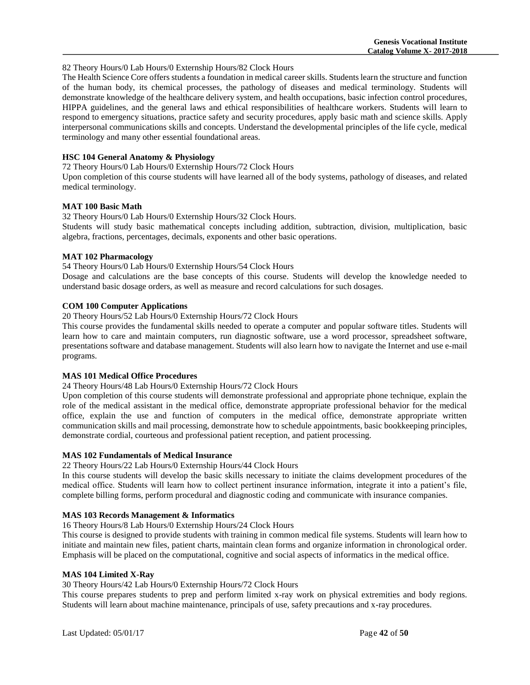# 82 Theory Hours/0 Lab Hours/0 Externship Hours/82 Clock Hours

The Health Science Core offers students a foundation in medical career skills. Students learn the structure and function of the human body, its chemical processes, the pathology of diseases and medical terminology. Students will demonstrate knowledge of the healthcare delivery system, and health occupations, basic infection control procedures, HIPPA guidelines, and the general laws and ethical responsibilities of healthcare workers. Students will learn to respond to emergency situations, practice safety and security procedures, apply basic math and science skills. Apply interpersonal communications skills and concepts. Understand the developmental principles of the life cycle, medical terminology and many other essential foundational areas.

# **HSC 104 General Anatomy & Physiology**

72 Theory Hours/0 Lab Hours/0 Externship Hours/72 Clock Hours

Upon completion of this course students will have learned all of the body systems, pathology of diseases, and related medical terminology.

# **MAT 100 Basic Math**

32 Theory Hours/0 Lab Hours/0 Externship Hours/32 Clock Hours.

Students will study basic mathematical concepts including addition, subtraction, division, multiplication, basic algebra, fractions, percentages, decimals, exponents and other basic operations.

# **MAT 102 Pharmacology**

54 Theory Hours/0 Lab Hours/0 Externship Hours/54 Clock Hours

Dosage and calculations are the base concepts of this course. Students will develop the knowledge needed to understand basic dosage orders, as well as measure and record calculations for such dosages.

# **COM 100 Computer Applications**

20 Theory Hours/52 Lab Hours/0 Externship Hours/72 Clock Hours

This course provides the fundamental skills needed to operate a computer and popular software titles. Students will learn how to care and maintain computers, run diagnostic software, use a word processor, spreadsheet software, presentations software and database management. Students will also learn how to navigate the Internet and use e-mail programs.

# **MAS 101 Medical Office Procedures**

# 24 Theory Hours/48 Lab Hours/0 Externship Hours/72 Clock Hours

Upon completion of this course students will demonstrate professional and appropriate phone technique, explain the role of the medical assistant in the medical office, demonstrate appropriate professional behavior for the medical office, explain the use and function of computers in the medical office, demonstrate appropriate written communication skills and mail processing, demonstrate how to schedule appointments, basic bookkeeping principles, demonstrate cordial, courteous and professional patient reception, and patient processing.

#### **MAS 102 Fundamentals of Medical Insurance**

#### 22 Theory Hours/22 Lab Hours/0 Externship Hours/44 Clock Hours

In this course students will develop the basic skills necessary to initiate the claims development procedures of the medical office. Students will learn how to collect pertinent insurance information, integrate it into a patient's file, complete billing forms, perform procedural and diagnostic coding and communicate with insurance companies.

#### **MAS 103 Records Management & Informatics**

16 Theory Hours/8 Lab Hours/0 Externship Hours/24 Clock Hours

This course is designed to provide students with training in common medical file systems. Students will learn how to initiate and maintain new files, patient charts, maintain clean forms and organize information in chronological order. Emphasis will be placed on the computational, cognitive and social aspects of informatics in the medical office.

# **MAS 104 Limited X-Ray**

30 Theory Hours/42 Lab Hours/0 Externship Hours/72 Clock Hours

This course prepares students to prep and perform limited x-ray work on physical extremities and body regions. Students will learn about machine maintenance, principals of use, safety precautions and x-ray procedures.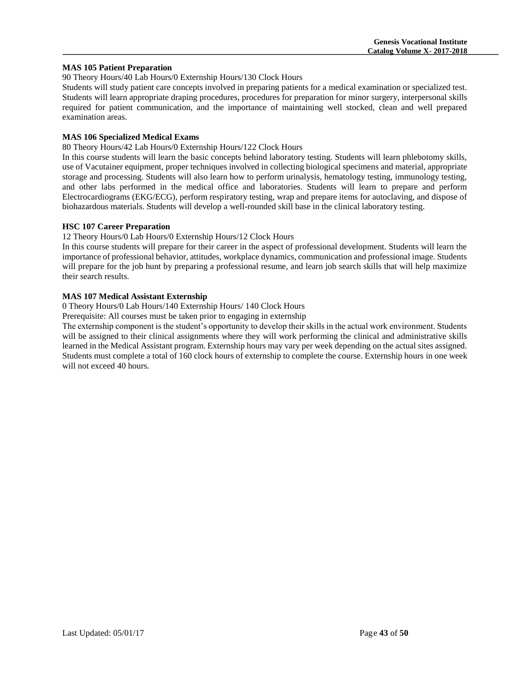# **MAS 105 Patient Preparation**

90 Theory Hours/40 Lab Hours/0 Externship Hours/130 Clock Hours

Students will study patient care concepts involved in preparing patients for a medical examination or specialized test. Students will learn appropriate draping procedures, procedures for preparation for minor surgery, interpersonal skills required for patient communication, and the importance of maintaining well stocked, clean and well prepared examination areas.

# **MAS 106 Specialized Medical Exams**

80 Theory Hours/42 Lab Hours/0 Externship Hours/122 Clock Hours

In this course students will learn the basic concepts behind laboratory testing. Students will learn phlebotomy skills, use of Vacutainer equipment, proper techniques involved in collecting biological specimens and material, appropriate storage and processing. Students will also learn how to perform urinalysis, hematology testing, immunology testing, and other labs performed in the medical office and laboratories. Students will learn to prepare and perform Electrocardiograms (EKG/ECG), perform respiratory testing, wrap and prepare items for autoclaving, and dispose of biohazardous materials. Students will develop a well-rounded skill base in the clinical laboratory testing.

# **HSC 107 Career Preparation**

12 Theory Hours/0 Lab Hours/0 Externship Hours/12 Clock Hours

In this course students will prepare for their career in the aspect of professional development. Students will learn the importance of professional behavior, attitudes, workplace dynamics, communication and professional image. Students will prepare for the job hunt by preparing a professional resume, and learn job search skills that will help maximize their search results.

# **MAS 107 Medical Assistant Externship**

0 Theory Hours/0 Lab Hours/140 Externship Hours/ 140 Clock Hours

Prerequisite: All courses must be taken prior to engaging in externship

The externship component is the student's opportunity to develop their skills in the actual work environment. Students will be assigned to their clinical assignments where they will work performing the clinical and administrative skills learned in the Medical Assistant program. Externship hours may vary per week depending on the actual sites assigned. Students must complete a total of 160 clock hours of externship to complete the course. Externship hours in one week will not exceed 40 hours.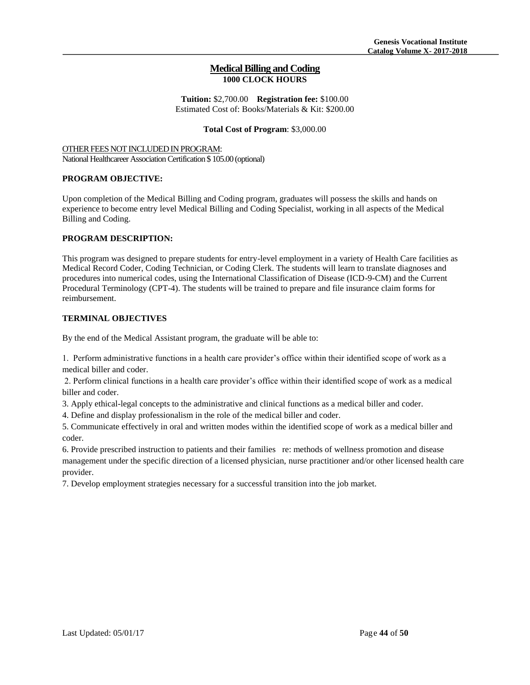# **Medical Billing and Coding 1000 CLOCK HOURS**

**Tuition:** \$2,700.00 **Registration fee:** \$100.00 Estimated Cost of: Books/Materials & Kit: \$200.00

# **Total Cost of Program**: \$3,000.00

OTHER FEES NOT INCLUDED IN PROGRAM: National Healthcareer Association Certification \$ 105.00 (optional)

# **PROGRAM OBJECTIVE:**

Upon completion of the Medical Billing and Coding program, graduates will possess the skills and hands on experience to become entry level Medical Billing and Coding Specialist, working in all aspects of the Medical Billing and Coding.

# **PROGRAM DESCRIPTION:**

This program was designed to prepare students for entry-level employment in a variety of Health Care facilities as Medical Record Coder, Coding Technician, or Coding Clerk. The students will learn to translate diagnoses and procedures into numerical codes, using the International Classification of Disease (ICD-9-CM) and the Current Procedural Terminology (CPT-4). The students will be trained to prepare and file insurance claim forms for reimbursement.

# **TERMINAL OBJECTIVES**

By the end of the Medical Assistant program, the graduate will be able to:

1. Perform administrative functions in a health care provider's office within their identified scope of work as a medical biller and coder.

2. Perform clinical functions in a health care provider's office within their identified scope of work as a medical biller and coder.

3. Apply ethical-legal concepts to the administrative and clinical functions as a medical biller and coder.

4. Define and display professionalism in the role of the medical biller and coder.

5. Communicate effectively in oral and written modes within the identified scope of work as a medical biller and coder.

6. Provide prescribed instruction to patients and their families re: methods of wellness promotion and disease management under the specific direction of a licensed physician, nurse practitioner and/or other licensed health care provider.

7. Develop employment strategies necessary for a successful transition into the job market.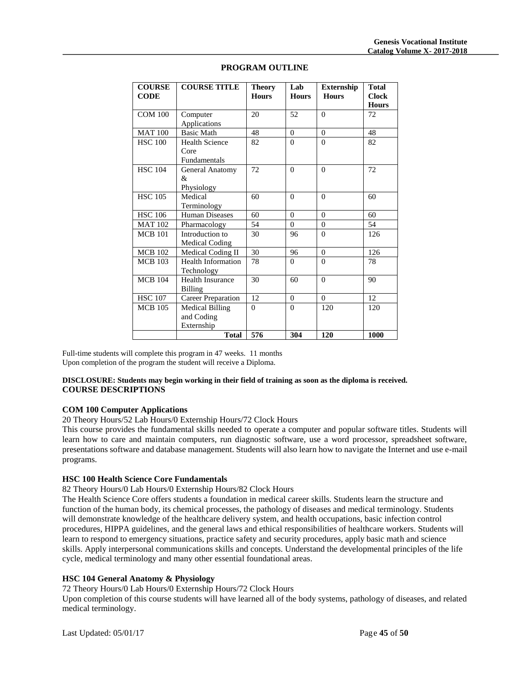| <b>COURSE</b><br><b>CODE</b> | <b>COURSE TITLE</b>                                | <b>Theory</b><br><b>Hours</b> | Lab<br><b>Hours</b> | <b>Externship</b><br><b>Hours</b> | <b>Total</b><br><b>Clock</b><br><b>Hours</b> |
|------------------------------|----------------------------------------------------|-------------------------------|---------------------|-----------------------------------|----------------------------------------------|
| <b>COM 100</b>               | Computer<br>Applications                           | 20                            | 52                  | $\Omega$                          | 72                                           |
| <b>MAT100</b>                | <b>Basic Math</b>                                  | 48                            | $\Omega$            | $\theta$                          | 48                                           |
| <b>HSC 100</b>               | <b>Health Science</b><br>Core<br>Fundamentals      | 82                            | $\Omega$            | $\Omega$                          | 82                                           |
| <b>HSC 104</b>               | General Anatomy<br>&<br>Physiology                 | 72                            | $\Omega$            | $\theta$                          | 72                                           |
| <b>HSC 105</b>               | Medical<br>Terminology                             | 60                            | $\Omega$            | $\Omega$                          | 60                                           |
| <b>HSC 106</b>               | <b>Human Diseases</b>                              | 60                            | $\Omega$            | $\Omega$                          | 60                                           |
| <b>MAT 102</b>               | Pharmacology                                       | 54                            | $\Omega$            | $\theta$                          | 54                                           |
| <b>MCB 101</b>               | Introduction to<br>Medical Coding                  | 30                            | 96                  | $\theta$                          | 126                                          |
| <b>MCB 102</b>               | Medical Coding II                                  | 30                            | 96                  | $\Omega$                          | 126                                          |
| <b>MCB</b> 103               | <b>Health Information</b><br>Technology            | 78                            | $\Omega$            | $\Omega$                          | 78                                           |
| <b>MCB 104</b>               | <b>Health Insurance</b><br><b>Billing</b>          | 30                            | 60                  | $\Omega$                          | 90                                           |
| <b>HSC 107</b>               | <b>Career Preparation</b>                          | 12                            | $\Omega$            | $\Omega$                          | 12                                           |
| <b>MCB</b> 105               | <b>Medical Billing</b><br>and Coding<br>Externship | $\theta$                      | $\Omega$            | 120                               | 120                                          |
|                              | <b>Total</b>                                       | 576                           | 304                 | 120                               | 1000                                         |

# **PROGRAM OUTLINE**

Full-time students will complete this program in 47 weeks. 11 months Upon completion of the program the student will receive a Diploma.

# **DISCLOSURE: Students may begin working in their field of training as soon as the diploma is received. COURSE DESCRIPTIONS**

# **COM 100 Computer Applications**

20 Theory Hours/52 Lab Hours/0 Externship Hours/72 Clock Hours

This course provides the fundamental skills needed to operate a computer and popular software titles. Students will learn how to care and maintain computers, run diagnostic software, use a word processor, spreadsheet software, presentations software and database management. Students will also learn how to navigate the Internet and use e-mail programs.

#### **HSC 100 Health Science Core Fundamentals**

82 Theory Hours/0 Lab Hours/0 Externship Hours/82 Clock Hours

The Health Science Core offers students a foundation in medical career skills. Students learn the structure and function of the human body, its chemical processes, the pathology of diseases and medical terminology. Students will demonstrate knowledge of the healthcare delivery system, and health occupations, basic infection control procedures, HIPPA guidelines, and the general laws and ethical responsibilities of healthcare workers. Students will learn to respond to emergency situations, practice safety and security procedures, apply basic math and science skills. Apply interpersonal communications skills and concepts. Understand the developmental principles of the life cycle, medical terminology and many other essential foundational areas.

# **HSC 104 General Anatomy & Physiology**

72 Theory Hours/0 Lab Hours/0 Externship Hours/72 Clock Hours

Upon completion of this course students will have learned all of the body systems, pathology of diseases, and related medical terminology.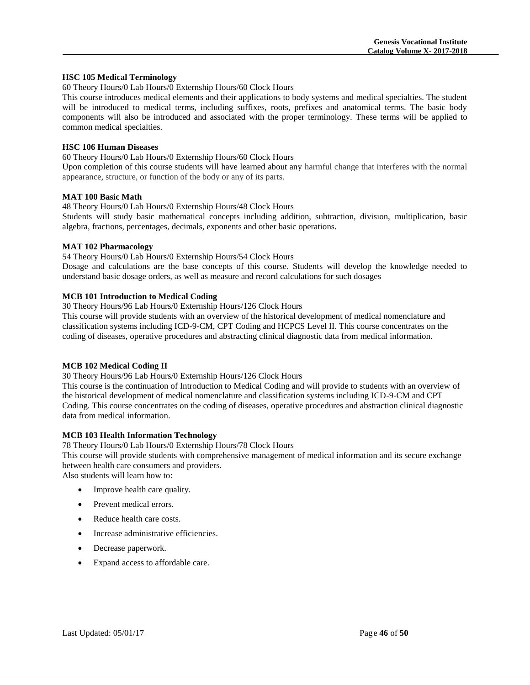#### **HSC 105 Medical Terminology**

60 Theory Hours/0 Lab Hours/0 Externship Hours/60 Clock Hours

This course introduces medical elements and their applications to body systems and medical specialties. The student will be introduced to medical terms, including suffixes, roots, prefixes and anatomical terms. The basic body components will also be introduced and associated with the proper terminology. These terms will be applied to common medical specialties.

# **HSC 106 Human Diseases**

60 Theory Hours/0 Lab Hours/0 Externship Hours/60 Clock Hours

Upon completion of this course students will have learned about any harmful change that interferes with the normal appearance, structure, or function of the body or any of its parts.

# **MAT 100 Basic Math**

48 Theory Hours/0 Lab Hours/0 Externship Hours/48 Clock Hours

Students will study basic mathematical concepts including addition, subtraction, division, multiplication, basic algebra, fractions, percentages, decimals, exponents and other basic operations.

# **MAT 102 Pharmacology**

54 Theory Hours/0 Lab Hours/0 Externship Hours/54 Clock Hours

Dosage and calculations are the base concepts of this course. Students will develop the knowledge needed to understand basic dosage orders, as well as measure and record calculations for such dosages

# **MCB 101 Introduction to Medical Coding**

30 Theory Hours/96 Lab Hours/0 Externship Hours/126 Clock Hours

This course will provide students with an overview of the historical development of medical nomenclature and classification systems including ICD-9-CM, CPT Coding and HCPCS Level II. This course concentrates on the coding of diseases, operative procedures and abstracting clinical diagnostic data from medical information.

# **MCB 102 Medical Coding II**

30 Theory Hours/96 Lab Hours/0 Externship Hours/126 Clock Hours

This course is the continuation of Introduction to Medical Coding and will provide to students with an overview of the historical development of medical nomenclature and classification systems including ICD-9-CM and CPT Coding. This course concentrates on the coding of diseases, operative procedures and abstraction clinical diagnostic data from medical information.

# **MCB 103 Health Information Technology**

78 Theory Hours/0 Lab Hours/0 Externship Hours/78 Clock Hours

This course will provide students with comprehensive management of medical information and its secure exchange between health care consumers and providers.

Also students will learn how to:

- Improve health care quality.
- Prevent medical errors.
- Reduce health care costs.
- Increase administrative efficiencies.
- Decrease paperwork.
- Expand access to affordable care.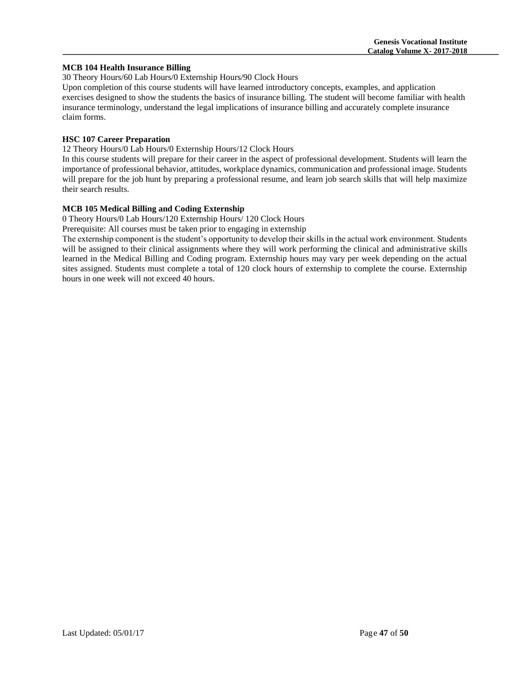# **MCB 104 Health Insurance Billing**

30 Theory Hours/60 Lab Hours/0 Externship Hours/90 Clock Hours

Upon completion of this course students will have learned introductory concepts, examples, and application exercises designed to show the students the basics of insurance billing. The student will become familiar with health insurance terminology, understand the legal implications of insurance billing and accurately complete insurance claim forms.

# **HSC 107 Career Preparation**

12 Theory Hours/0 Lab Hours/0 Externship Hours/12 Clock Hours

In this course students will prepare for their career in the aspect of professional development. Students will learn the importance of professional behavior, attitudes, workplace dynamics, communication and professional image. Students will prepare for the job hunt by preparing a professional resume, and learn job search skills that will help maximize their search results.

# **MCB 105 Medical Billing and Coding Externship**

0 Theory Hours/0 Lab Hours/120 Externship Hours/ 120 Clock Hours

Prerequisite: All courses must be taken prior to engaging in externship

The externship component is the student's opportunity to develop their skills in the actual work environment. Students will be assigned to their clinical assignments where they will work performing the clinical and administrative skills learned in the Medical Billing and Coding program. Externship hours may vary per week depending on the actual sites assigned. Students must complete a total of 120 clock hours of externship to complete the course. Externship hours in one week will not exceed 40 hours.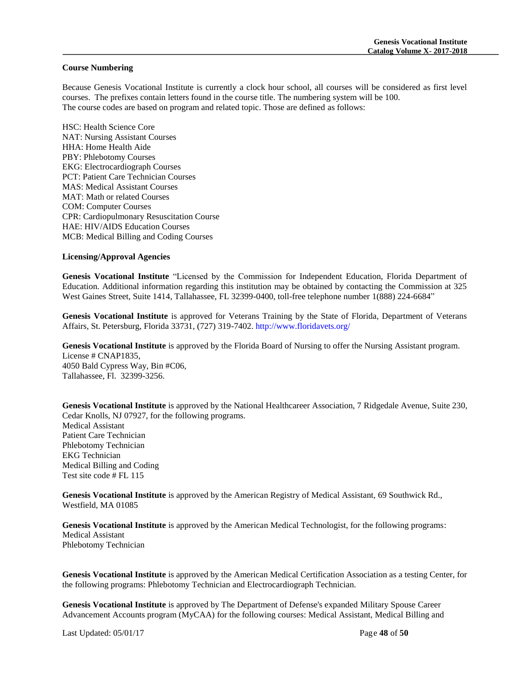#### **Course Numbering**

Because Genesis Vocational Institute is currently a clock hour school, all courses will be considered as first level courses. The prefixes contain letters found in the course title. The numbering system will be 100. The course codes are based on program and related topic. Those are defined as follows:

HSC: Health Science Core NAT: Nursing Assistant Courses HHA: Home Health Aide PBY: Phlebotomy Courses EKG: Electrocardiograph Courses PCT: Patient Care Technician Courses MAS: Medical Assistant Courses MAT: Math or related Courses COM: Computer Courses CPR: Cardiopulmonary Resuscitation Course HAE: HIV/AIDS Education Courses MCB: Medical Billing and Coding Courses

# **Licensing/Approval Agencies**

**Genesis Vocational Institute** "Licensed by the Commission for Independent Education, Florida Department of Education. Additional information regarding this institution may be obtained by contacting the Commission at 325 West Gaines Street, Suite 1414, Tallahassee, FL 32399-0400, toll-free telephone number 1(888) 224-6684"

**Genesis Vocational Institute** is approved for Veterans Training by the State of Florida, Department of Veterans Affairs, St. Petersburg, Florida 33731, (727) 319-7402. http://www.floridavets.org/

Genesis Vocational Institute is approved by the Florida Board of Nursing to offer the Nursing Assistant program. License # CNAP1835, 4050 Bald Cypress Way, Bin #C06, Tallahassee, Fl. 32399-3256.

**Genesis Vocational Institute** is approved by the National Healthcareer Association, 7 Ridgedale Avenue, Suite 230, Cedar Knolls, NJ 07927, for the following programs. Medical Assistant Patient Care Technician Phlebotomy Technician EKG Technician Medical Billing and Coding Test site code # FL 115

**Genesis Vocational Institute** is approved by the American Registry of Medical Assistant, 69 Southwick Rd., Westfield, MA 01085

**Genesis Vocational Institute** is approved by the American Medical Technologist, for the following programs: Medical Assistant Phlebotomy Technician

**Genesis Vocational Institute** is approved by the American Medical Certification Association as a testing Center, for the following programs: Phlebotomy Technician and Electrocardiograph Technician.

**Genesis Vocational Institute** is approved by The Department of Defense's expanded Military Spouse Career Advancement Accounts program (MyCAA) for the following courses: Medical Assistant, Medical Billing and

Last Updated: 05/01/17 Page **48** of **50**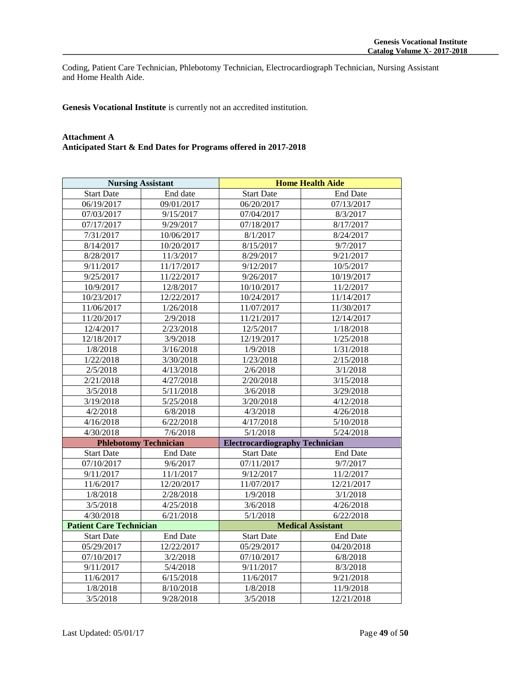Coding, Patient Care Technician, Phlebotomy Technician, Electrocardiograph Technician, Nursing Assistant and Home Health Aide.

**Genesis Vocational Institute** is currently not an accredited institution.

# **Attachment A Anticipated Start & End Dates for Programs offered in 2017-2018**

| <b>Nursing Assistant</b>       |                 | <b>Home Health Aide</b>               |                 |
|--------------------------------|-----------------|---------------------------------------|-----------------|
| <b>Start Date</b>              | End date        | <b>Start Date</b>                     | <b>End Date</b> |
| 06/19/2017                     | 09/01/2017      | 06/20/2017                            | 07/13/2017      |
| 07/03/2017                     | 9/15/2017       | 07/04/2017                            | 8/3/2017        |
| 07/17/2017                     | 9/29/2017       | 07/18/2017                            | 8/17/2017       |
| 7/31/2017                      | 10/06/2017      | 8/1/2017                              | 8/24/2017       |
| 8/14/2017                      | 10/20/2017      | 8/15/2017                             | 9/7/2017        |
| 8/28/2017                      | 11/3/2017       | 8/29/2017                             | 9/21/2017       |
| 9/11/2017                      | 11/17/2017      | 9/12/2017                             | 10/5/2017       |
| 9/25/2017                      | 11/22/2017      | 9/26/2017                             | 10/19/2017      |
| 10/9/2017                      | 12/8/2017       | 10/10/2017                            | 11/2/2017       |
| 10/23/2017                     | 12/22/2017      | 10/24/2017                            | 11/14/2017      |
| 11/06/2017                     | 1/26/2018       | 11/07/2017                            | 11/30/2017      |
| 11/20/2017                     | 2/9/2018        | 11/21/2017                            | 12/14/2017      |
| 12/4/2017                      | 2/23/2018       | 12/5/2017                             | 1/18/2018       |
| 12/18/2017                     | 3/9/2018        | 12/19/2017                            | 1/25/2018       |
| 1/8/2018                       | 3/16/2018       | 1/9/2018                              | 1/31/2018       |
| 1/22/2018                      | 3/30/2018       | 1/23/2018                             | 2/15/2018       |
| 2/5/2018                       | 4/13/2018       | 2/6/2018                              | 3/1/2018        |
| 2/21/2018                      | 4/27/2018       | 2/20/2018                             | 3/15/2018       |
| 3/5/2018                       | 5/11/2018       | 3/6/2018                              | 3/29/2018       |
| 3/19/2018                      | 5/25/2018       | 3/20/2018                             | 4/12/2018       |
| 4/2/2018                       | 6/8/2018        | 4/3/2018                              | 4/26/2018       |
| 4/16/2018                      | 6/22/2018       | 4/17/2018                             | 5/10/2018       |
| 4/30/2018                      | 7/6/2018        | 5/1/2018                              | 5/24/2018       |
| <b>Phlebotomy Technician</b>   |                 | <b>Electrocardiography Technician</b> |                 |
| <b>Start Date</b>              | <b>End Date</b> | <b>Start Date</b>                     | <b>End Date</b> |
| 07/10/2017                     | 9/6/2017        | 07/11/2017                            | 9/7/2017        |
| 9/11/2017                      | 11/1/2017       | 9/12/2017                             | 11/2/2017       |
| 11/6/2017                      | 12/20/2017      | 11/07/2017                            | 12/21/2017      |
| 1/8/2018                       | 2/28/2018       | 1/9/2018                              | 3/1/2018        |
| 3/5/2018                       | 4/25/2018       | 3/6/2018                              | 4/26/2018       |
| 4/30/2018                      | 6/21/2018       | 5/1/2018                              | 6/22/2018       |
| <b>Patient Care Technician</b> |                 | <b>Medical Assistant</b>              |                 |
| <b>Start Date</b>              | <b>End Date</b> | <b>Start Date</b>                     | <b>End Date</b> |
| 05/29/2017                     | 12/22/2017      | 05/29/2017                            | 04/20/2018      |
| 07/10/2017                     | 3/2/2018        | 07/10/2017                            | 6/8/2018        |
| 9/11/2017                      | 5/4/2018        | 9/11/2017                             | 8/3/2018        |
| 11/6/2017                      | 6/15/2018       | 11/6/2017                             | 9/21/2018       |
| 1/8/2018                       | 8/10/2018       | 1/8/2018                              | 11/9/2018       |
| 3/5/2018                       | 9/28/2018       | 3/5/2018                              | 12/21/2018      |